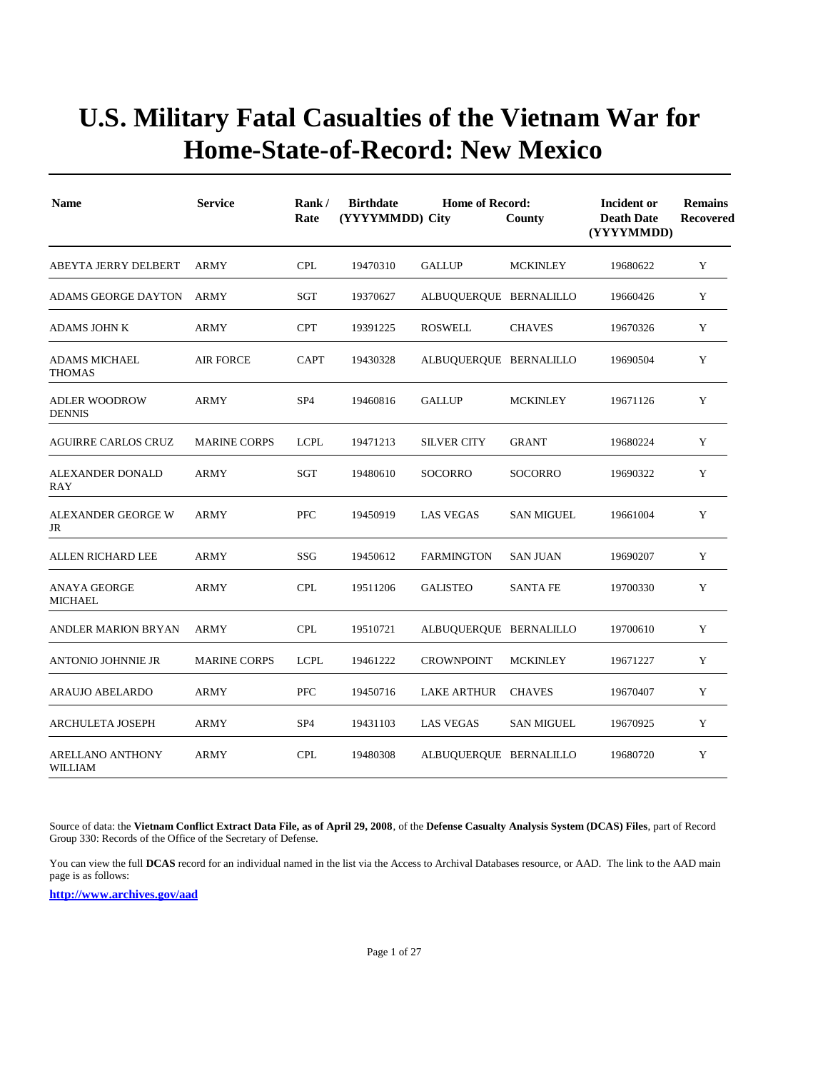| <b>Name</b>                               | <b>Service</b>      | Rank/<br>Rate   | <b>Home of Record:</b><br><b>Birthdate</b><br>(YYYYMMDD) City<br>County |                        |                   | Incident or<br><b>Death Date</b><br>(YYYYMMDD) | <b>Remains</b><br>Recovered |
|-------------------------------------------|---------------------|-----------------|-------------------------------------------------------------------------|------------------------|-------------------|------------------------------------------------|-----------------------------|
| ABEYTA JERRY DELBERT                      | <b>ARMY</b>         | <b>CPL</b>      | 19470310                                                                | <b>GALLUP</b>          | <b>MCKINLEY</b>   | 19680622                                       | Y                           |
| ADAMS GEORGE DAYTON                       | <b>ARMY</b>         | SGT             | 19370627                                                                | ALBUQUERQUE BERNALILLO |                   | 19660426                                       | Y                           |
| <b>ADAMS JOHN K</b>                       | ARMY                | <b>CPT</b>      | 19391225                                                                | <b>ROSWELL</b>         | <b>CHAVES</b>     | 19670326                                       | Y                           |
| <b>ADAMS MICHAEL</b><br><b>THOMAS</b>     | <b>AIR FORCE</b>    | <b>CAPT</b>     | 19430328                                                                | ALBUQUERQUE BERNALILLO |                   | 19690504                                       | Y                           |
| <b>ADLER WOODROW</b><br><b>DENNIS</b>     | <b>ARMY</b>         | SP <sub>4</sub> | 19460816                                                                | <b>GALLUP</b>          | <b>MCKINLEY</b>   | 19671126                                       | Y                           |
| AGUIRRE CARLOS CRUZ                       | <b>MARINE CORPS</b> | <b>LCPL</b>     | 19471213                                                                | <b>SILVER CITY</b>     | <b>GRANT</b>      | 19680224                                       | Y                           |
| ALEXANDER DONALD<br>RAY                   | <b>ARMY</b>         | SGT             | 19480610                                                                | <b>SOCORRO</b>         | <b>SOCORRO</b>    | 19690322                                       | Y                           |
| ALEXANDER GEORGE W<br>JR                  | <b>ARMY</b>         | <b>PFC</b>      | 19450919                                                                | <b>LAS VEGAS</b>       | <b>SAN MIGUEL</b> | 19661004                                       | Y                           |
| ALLEN RICHARD LEE                         | <b>ARMY</b>         | SSG             | 19450612                                                                | <b>FARMINGTON</b>      | <b>SAN JUAN</b>   | 19690207                                       | Y                           |
| <b>ANAYA GEORGE</b><br>MICHAEL            | <b>ARMY</b>         | <b>CPL</b>      | 19511206                                                                | <b>GALISTEO</b>        | <b>SANTA FE</b>   | 19700330                                       | Y                           |
| <b>ANDLER MARION BRYAN</b>                | <b>ARMY</b>         | <b>CPL</b>      | 19510721                                                                | ALBUQUERQUE BERNALILLO |                   | 19700610                                       | Y                           |
| <b>ANTONIO JOHNNIE JR</b>                 | <b>MARINE CORPS</b> | <b>LCPL</b>     | 19461222                                                                | <b>CROWNPOINT</b>      | <b>MCKINLEY</b>   | 19671227                                       | Y                           |
| <b>ARAUJO ABELARDO</b>                    | <b>ARMY</b>         | PFC             | 19450716                                                                | <b>LAKE ARTHUR</b>     | <b>CHAVES</b>     | 19670407                                       | Y                           |
| <b>ARCHULETA JOSEPH</b>                   | <b>ARMY</b>         | SP <sub>4</sub> | 19431103                                                                | <b>LAS VEGAS</b>       | <b>SAN MIGUEL</b> | 19670925                                       | Y                           |
| <b>ARELLANO ANTHONY</b><br><b>WILLIAM</b> | <b>ARMY</b>         | <b>CPL</b>      | 19480308                                                                | ALBUQUERQUE BERNALILLO |                   | 19680720                                       | Y                           |

Source of data: the **Vietnam Conflict Extract Data File, as of April 29, 2008**, of the **Defense Casualty Analysis System (DCAS) Files**, part of Record Group 330: Records of the Office of the Secretary of Defense.

You can view the full **DCAS** record for an individual named in the list via the Access to Archival Databases resource, or AAD. The link to the AAD main page is as follows: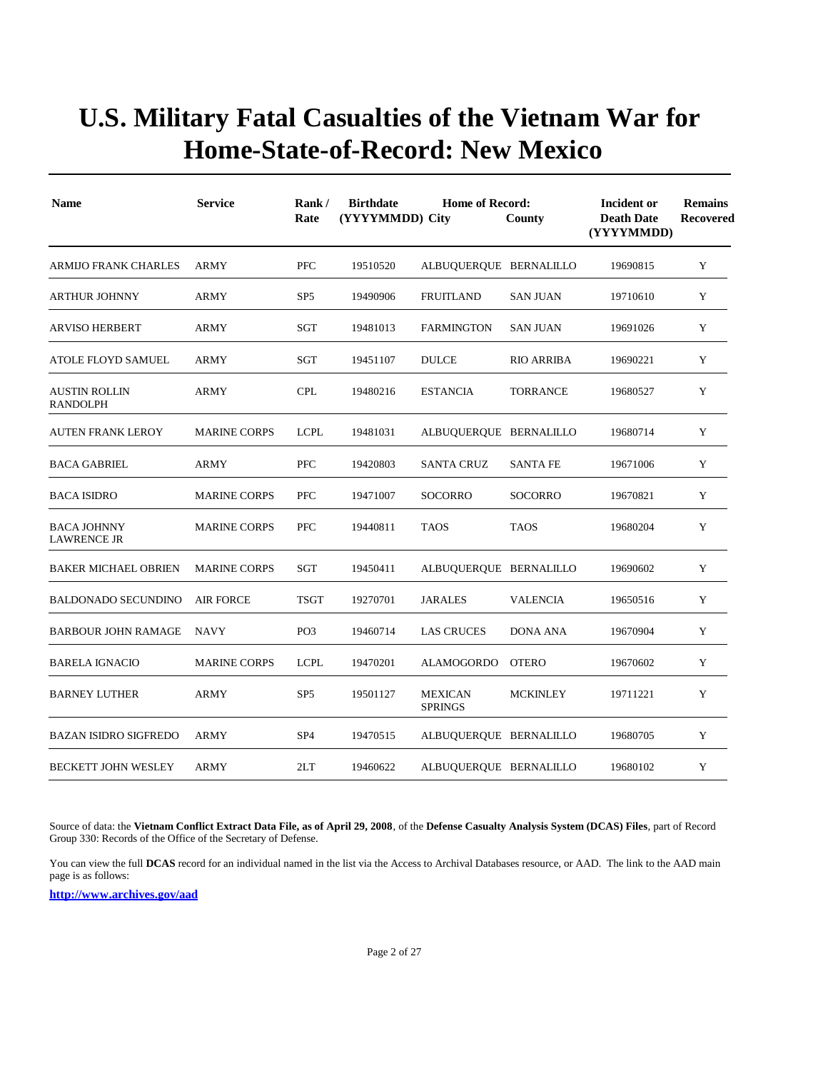| <b>Name</b>                              | <b>Service</b>      | Rank/<br>Rate   | <b>Birthdate</b><br>(YYYYMMDD) City | <b>Home of Record:</b>           | County            | Incident or<br><b>Death Date</b><br>(YYYYMMDD) | <b>Remains</b><br>Recovered |
|------------------------------------------|---------------------|-----------------|-------------------------------------|----------------------------------|-------------------|------------------------------------------------|-----------------------------|
| ARMIJO FRANK CHARLES                     | ARMY                | <b>PFC</b>      | 19510520                            | ALBUQUERQUE BERNALILLO           |                   | 19690815                                       | Y                           |
| <b>ARTHUR JOHNNY</b>                     | <b>ARMY</b>         | SP <sub>5</sub> | 19490906                            | <b>FRUITLAND</b>                 | <b>SAN JUAN</b>   | 19710610                                       | Y                           |
| <b>ARVISO HERBERT</b>                    | <b>ARMY</b>         | SGT             | 19481013                            | <b>FARMINGTON</b>                | <b>SAN JUAN</b>   | 19691026                                       | Y                           |
| ATOLE FLOYD SAMUEL                       | ARMY                | SGT             | 19451107                            | <b>DULCE</b>                     | <b>RIO ARRIBA</b> | 19690221                                       | Y                           |
| <b>AUSTIN ROLLIN</b><br><b>RANDOLPH</b>  | <b>ARMY</b>         | <b>CPL</b>      | 19480216                            | <b>ESTANCIA</b>                  | <b>TORRANCE</b>   | 19680527                                       | Y                           |
| <b>AUTEN FRANK LEROY</b>                 | <b>MARINE CORPS</b> | <b>LCPL</b>     | 19481031                            | ALBUQUERQUE BERNALILLO           |                   | 19680714                                       | Y                           |
| <b>BACA GABRIEL</b>                      | <b>ARMY</b>         | <b>PFC</b>      | 19420803                            | <b>SANTA CRUZ</b>                | <b>SANTA FE</b>   | 19671006                                       | Y                           |
| <b>BACA ISIDRO</b>                       | <b>MARINE CORPS</b> | <b>PFC</b>      | 19471007                            | <b>SOCORRO</b>                   | <b>SOCORRO</b>    | 19670821                                       | Y                           |
| <b>BACA JOHNNY</b><br><b>LAWRENCE JR</b> | <b>MARINE CORPS</b> | <b>PFC</b>      | 19440811                            | <b>TAOS</b>                      | <b>TAOS</b>       | 19680204                                       | Y                           |
| <b>BAKER MICHAEL OBRIEN</b>              | <b>MARINE CORPS</b> | SGT             | 19450411                            | ALBUQUERQUE BERNALILLO           |                   | 19690602                                       | Y                           |
| <b>BALDONADO SECUNDINO</b>               | <b>AIR FORCE</b>    | <b>TSGT</b>     | 19270701                            | <b>JARALES</b>                   | <b>VALENCIA</b>   | 19650516                                       | Y                           |
| <b>BARBOUR JOHN RAMAGE</b>               | <b>NAVY</b>         | PO <sub>3</sub> | 19460714                            | <b>LAS CRUCES</b>                | <b>DONA ANA</b>   | 19670904                                       | Y                           |
| <b>BARELA IGNACIO</b>                    | <b>MARINE CORPS</b> | <b>LCPL</b>     | 19470201                            | <b>ALAMOGORDO</b>                | <b>OTERO</b>      | 19670602                                       | Y                           |
| <b>BARNEY LUTHER</b>                     | <b>ARMY</b>         | SP <sub>5</sub> | 19501127                            | <b>MEXICAN</b><br><b>SPRINGS</b> | <b>MCKINLEY</b>   | 19711221                                       | Y                           |
| <b>BAZAN ISIDRO SIGFREDO</b>             | <b>ARMY</b>         | SP <sub>4</sub> | 19470515                            | ALBUQUERQUE BERNALILLO           |                   | 19680705                                       | Y                           |
| <b>BECKETT JOHN WESLEY</b>               | <b>ARMY</b>         | 2LT             | 19460622                            | ALBUQUERQUE BERNALILLO           |                   | 19680102                                       | Y                           |

Source of data: the **Vietnam Conflict Extract Data File, as of April 29, 2008**, of the **Defense Casualty Analysis System (DCAS) Files**, part of Record Group 330: Records of the Office of the Secretary of Defense.

You can view the full **DCAS** record for an individual named in the list via the Access to Archival Databases resource, or AAD. The link to the AAD main page is as follows: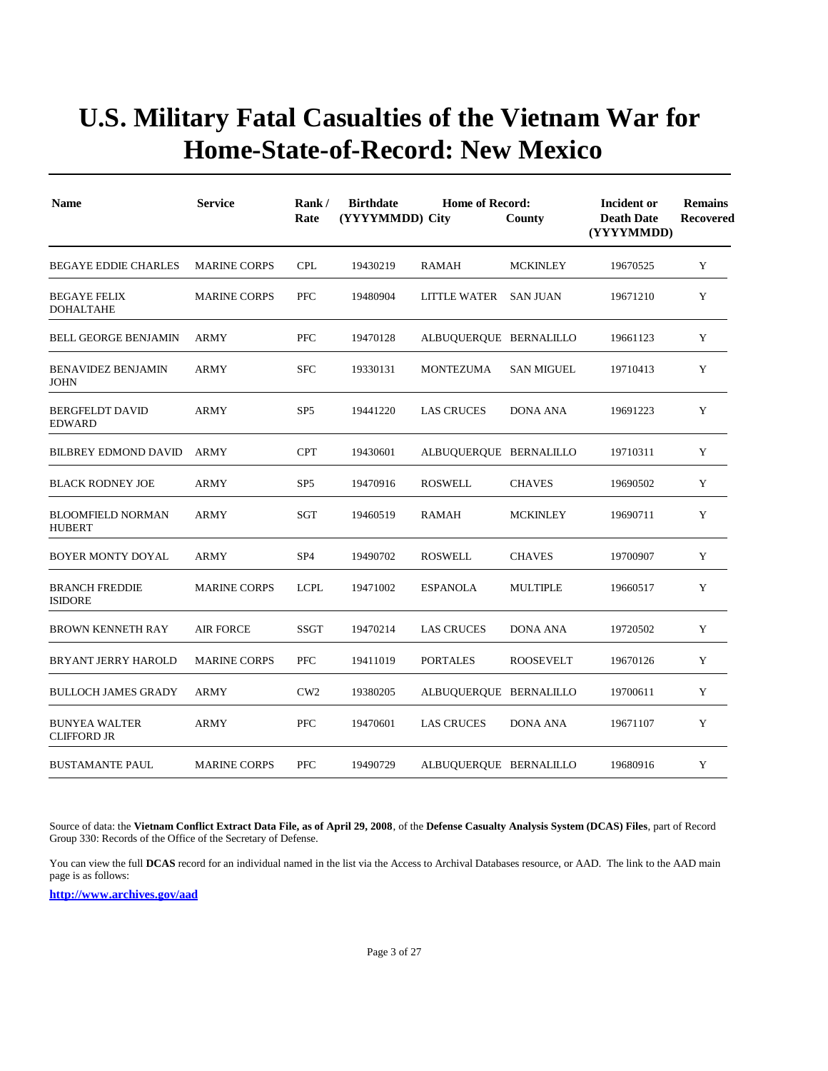| <b>Name</b>                                | <b>Service</b>      | Rank/<br>Rate   | <b>Birthdate</b><br>(YYYYMMDD) City | <b>Home of Record:</b> | County            | Incident or<br><b>Death Date</b><br>(YYYYMMDD) | <b>Remains</b><br><b>Recovered</b> |
|--------------------------------------------|---------------------|-----------------|-------------------------------------|------------------------|-------------------|------------------------------------------------|------------------------------------|
| <b>BEGAYE EDDIE CHARLES</b>                | <b>MARINE CORPS</b> | <b>CPL</b>      | 19430219                            | <b>RAMAH</b>           | <b>MCKINLEY</b>   | 19670525                                       | Y                                  |
| <b>BEGAYE FELIX</b><br><b>DOHALTAHE</b>    | <b>MARINE CORPS</b> | <b>PFC</b>      | 19480904                            | LITTLE WATER SAN JUAN  |                   | 19671210                                       | Y                                  |
| <b>BELL GEORGE BENJAMIN</b>                | ARMY                | <b>PFC</b>      | 19470128                            | ALBUQUERQUE BERNALILLO |                   | 19661123                                       | Y                                  |
| <b>BENAVIDEZ BENJAMIN</b><br><b>JOHN</b>   | <b>ARMY</b>         | <b>SFC</b>      | 19330131                            | <b>MONTEZUMA</b>       | <b>SAN MIGUEL</b> | 19710413                                       | Y                                  |
| <b>BERGFELDT DAVID</b><br><b>EDWARD</b>    | ARMY                | SP <sub>5</sub> | 19441220                            | <b>LAS CRUCES</b>      | <b>DONA ANA</b>   | 19691223                                       | Y                                  |
| <b>BILBREY EDMOND DAVID</b>                | ARMY                | <b>CPT</b>      | 19430601                            | ALBUQUERQUE BERNALILLO |                   | 19710311                                       | Y                                  |
| <b>BLACK RODNEY JOE</b>                    | ARMY                | SP <sub>5</sub> | 19470916                            | <b>ROSWELL</b>         | <b>CHAVES</b>     | 19690502                                       | Y                                  |
| <b>BLOOMFIELD NORMAN</b><br><b>HUBERT</b>  | ARMY                | SGT             | 19460519                            | <b>RAMAH</b>           | <b>MCKINLEY</b>   | 19690711                                       | Y                                  |
| <b>BOYER MONTY DOYAL</b>                   | <b>ARMY</b>         | SP <sub>4</sub> | 19490702                            | <b>ROSWELL</b>         | <b>CHAVES</b>     | 19700907                                       | Y                                  |
| <b>BRANCH FREDDIE</b><br><b>ISIDORE</b>    | <b>MARINE CORPS</b> | <b>LCPL</b>     | 19471002                            | <b>ESPANOLA</b>        | <b>MULTIPLE</b>   | 19660517                                       | Y                                  |
| <b>BROWN KENNETH RAY</b>                   | <b>AIR FORCE</b>    | <b>SSGT</b>     | 19470214                            | <b>LAS CRUCES</b>      | <b>DONA ANA</b>   | 19720502                                       | Y                                  |
| <b>BRYANT JERRY HAROLD</b>                 | <b>MARINE CORPS</b> | <b>PFC</b>      | 19411019                            | <b>PORTALES</b>        | <b>ROOSEVELT</b>  | 19670126                                       | Y                                  |
| <b>BULLOCH JAMES GRADY</b>                 | <b>ARMY</b>         | CW2             | 19380205                            | ALBUQUERQUE BERNALILLO |                   | 19700611                                       | Y                                  |
| <b>BUNYEA WALTER</b><br><b>CLIFFORD JR</b> | <b>ARMY</b>         | <b>PFC</b>      | 19470601                            | <b>LAS CRUCES</b>      | <b>DONA ANA</b>   | 19671107                                       | Y                                  |
| <b>BUSTAMANTE PAUL</b>                     | <b>MARINE CORPS</b> | <b>PFC</b>      | 19490729                            | ALBUQUERQUE BERNALILLO |                   | 19680916                                       | Y                                  |

Source of data: the **Vietnam Conflict Extract Data File, as of April 29, 2008**, of the **Defense Casualty Analysis System (DCAS) Files**, part of Record Group 330: Records of the Office of the Secretary of Defense.

You can view the full **DCAS** record for an individual named in the list via the Access to Archival Databases resource, or AAD. The link to the AAD main page is as follows: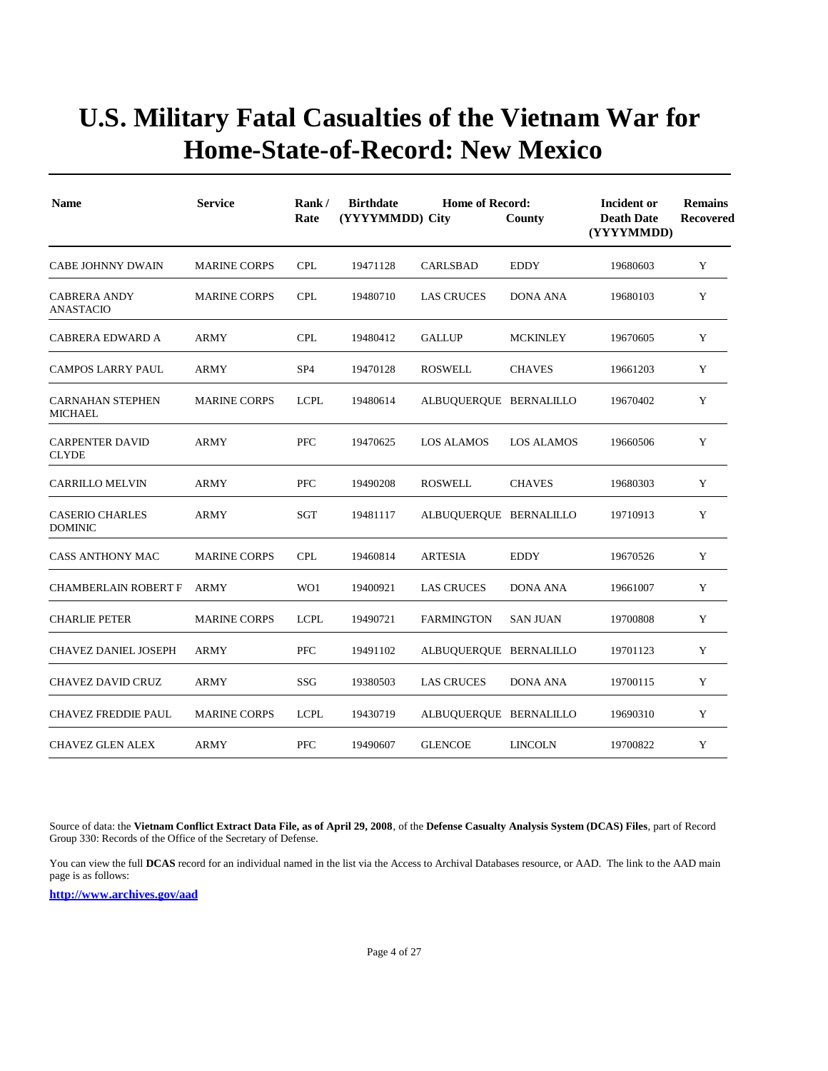| <b>Name</b>                               | <b>Service</b>      | Rank/<br>Rate   | <b>Birthdate</b><br>(YYYYMMDD) City | <b>Home of Record:</b> | County            | Incident or<br><b>Death Date</b><br>(YYYYMMDD) | <b>Remains</b><br>Recovered |  |
|-------------------------------------------|---------------------|-----------------|-------------------------------------|------------------------|-------------------|------------------------------------------------|-----------------------------|--|
| <b>CABE JOHNNY DWAIN</b>                  | <b>MARINE CORPS</b> | <b>CPL</b>      | 19471128                            | CARLSBAD               | <b>EDDY</b>       | 19680603                                       | Y                           |  |
| <b>CABRERA ANDY</b><br><b>ANASTACIO</b>   | <b>MARINE CORPS</b> | <b>CPL</b>      | 19480710                            | <b>LAS CRUCES</b>      | <b>DONA ANA</b>   | 19680103                                       | Y                           |  |
| CABRERA EDWARD A                          | <b>ARMY</b>         | <b>CPL</b>      | 19480412                            | <b>GALLUP</b>          | <b>MCKINLEY</b>   | 19670605                                       | Y                           |  |
| <b>CAMPOS LARRY PAUL</b>                  | <b>ARMY</b>         | SP <sub>4</sub> | 19470128                            | <b>ROSWELL</b>         | <b>CHAVES</b>     | 19661203                                       | Y                           |  |
| <b>CARNAHAN STEPHEN</b><br><b>MICHAEL</b> | <b>MARINE CORPS</b> | <b>LCPL</b>     | 19480614                            | ALBUQUERQUE BERNALILLO |                   | 19670402                                       | Y                           |  |
| <b>CARPENTER DAVID</b><br><b>CLYDE</b>    | <b>ARMY</b>         | <b>PFC</b>      | 19470625                            | <b>LOS ALAMOS</b>      | <b>LOS ALAMOS</b> | 19660506                                       | Y                           |  |
| <b>CARRILLO MELVIN</b>                    | <b>ARMY</b>         | <b>PFC</b>      | 19490208                            | <b>ROSWELL</b>         | <b>CHAVES</b>     | 19680303                                       | Y                           |  |
| <b>CASERIO CHARLES</b><br><b>DOMINIC</b>  | <b>ARMY</b>         | SGT             | 19481117                            | ALBUQUERQUE BERNALILLO |                   | 19710913                                       | Y                           |  |
| <b>CASS ANTHONY MAC</b>                   | <b>MARINE CORPS</b> | <b>CPL</b>      | 19460814                            | <b>ARTESIA</b>         | <b>EDDY</b>       | 19670526                                       | Y                           |  |
| <b>CHAMBERLAIN ROBERT F</b>               | <b>ARMY</b>         | WO1             | 19400921                            | <b>LAS CRUCES</b>      | <b>DONA ANA</b>   | 19661007                                       | Y                           |  |
| <b>CHARLIE PETER</b>                      | <b>MARINE CORPS</b> | <b>LCPL</b>     | 19490721                            | <b>FARMINGTON</b>      | <b>SAN JUAN</b>   | 19700808                                       | Y                           |  |
| <b>CHAVEZ DANIEL JOSEPH</b>               | <b>ARMY</b>         | <b>PFC</b>      | 19491102                            | ALBUQUERQUE BERNALILLO |                   | 19701123                                       | Y                           |  |
| <b>CHAVEZ DAVID CRUZ</b>                  | ARMY                | SSG             | 19380503                            | <b>LAS CRUCES</b>      | <b>DONA ANA</b>   | 19700115                                       | Y                           |  |
| <b>CHAVEZ FREDDIE PAUL</b>                | <b>MARINE CORPS</b> | <b>LCPL</b>     | 19430719                            | ALBUQUERQUE BERNALILLO |                   | 19690310                                       | Y                           |  |
| <b>CHAVEZ GLEN ALEX</b>                   | ARMY                | <b>PFC</b>      | 19490607                            | <b>GLENCOE</b>         | <b>LINCOLN</b>    | 19700822                                       | Y                           |  |

Source of data: the **Vietnam Conflict Extract Data File, as of April 29, 2008**, of the **Defense Casualty Analysis System (DCAS) Files**, part of Record Group 330: Records of the Office of the Secretary of Defense.

You can view the full **DCAS** record for an individual named in the list via the Access to Archival Databases resource, or AAD. The link to the AAD main page is as follows: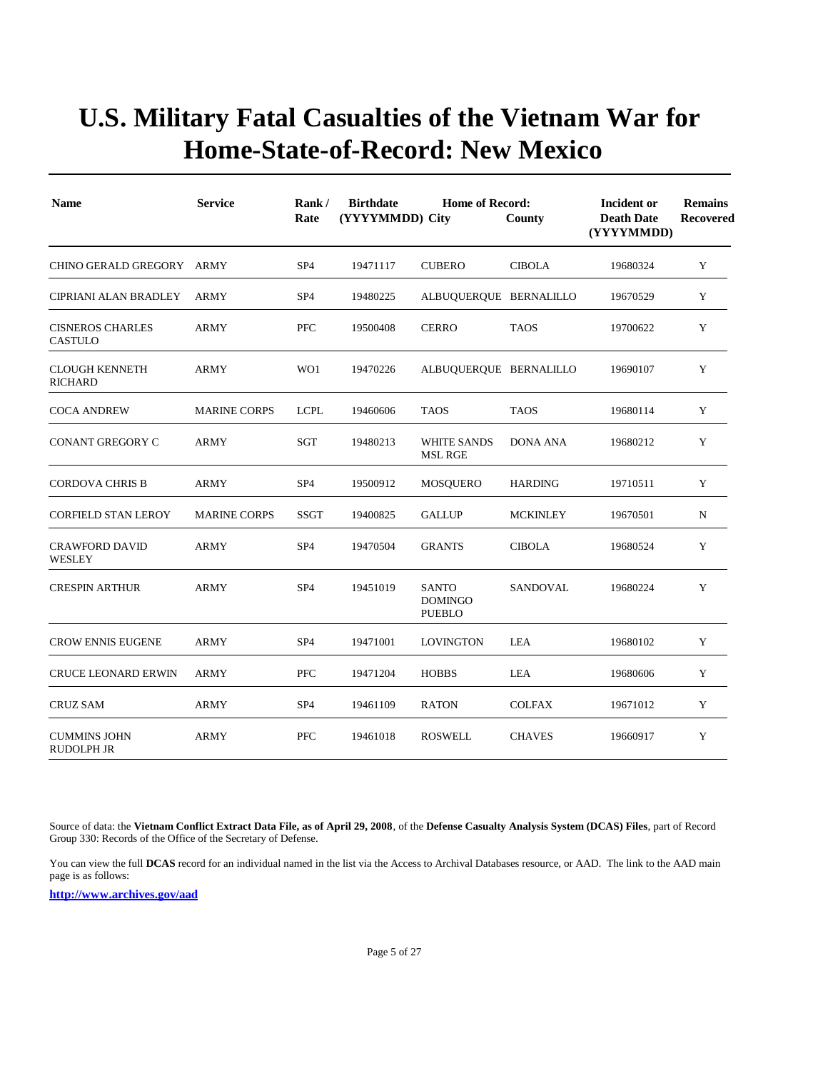| <b>Name</b>                               | <b>Service</b>      | Rank/<br>Rate   | <b>Birthdate</b><br><b>Home of Record:</b><br>(YYYYMMDD) City<br>County |                                                 |                 | Incident or<br><b>Death Date</b><br>(YYYYMMDD) | <b>Remains</b><br>Recovered |
|-------------------------------------------|---------------------|-----------------|-------------------------------------------------------------------------|-------------------------------------------------|-----------------|------------------------------------------------|-----------------------------|
| CHINO GERALD GREGORY ARMY                 |                     | SP <sub>4</sub> | 19471117                                                                | <b>CUBERO</b>                                   | <b>CIBOLA</b>   | 19680324                                       | Y                           |
| CIPRIANI ALAN BRADLEY                     | <b>ARMY</b>         | SP <sub>4</sub> | 19480225                                                                | ALBUQUERQUE BERNALILLO                          |                 | 19670529                                       | Y                           |
| <b>CISNEROS CHARLES</b><br><b>CASTULO</b> | <b>ARMY</b>         | <b>PFC</b>      | 19500408                                                                | <b>CERRO</b>                                    | <b>TAOS</b>     | 19700622                                       | Y                           |
| <b>CLOUGH KENNETH</b><br><b>RICHARD</b>   | ARMY                | WO1             | 19470226                                                                | ALBUQUERQUE BERNALILLO                          |                 | 19690107                                       | Y                           |
| <b>COCA ANDREW</b>                        | <b>MARINE CORPS</b> | <b>LCPL</b>     | 19460606                                                                | <b>TAOS</b>                                     | <b>TAOS</b>     | 19680114                                       | Y                           |
| <b>CONANT GREGORY C</b>                   | <b>ARMY</b>         | SGT             | 19480213                                                                | <b>WHITE SANDS</b><br><b>MSL RGE</b>            | <b>DONA ANA</b> | 19680212                                       | Y                           |
| <b>CORDOVA CHRIS B</b>                    | <b>ARMY</b>         | SP <sub>4</sub> | 19500912                                                                | <b>MOSQUERO</b>                                 | <b>HARDING</b>  | 19710511                                       | Y                           |
| <b>CORFIELD STAN LEROY</b>                | <b>MARINE CORPS</b> | <b>SSGT</b>     | 19400825                                                                | <b>GALLUP</b>                                   | <b>MCKINLEY</b> | 19670501                                       | $\mathbf N$                 |
| <b>CRAWFORD DAVID</b><br>WESLEY           | <b>ARMY</b>         | SP <sub>4</sub> | 19470504                                                                | <b>GRANTS</b>                                   | <b>CIBOLA</b>   | 19680524                                       | Y                           |
| <b>CRESPIN ARTHUR</b>                     | <b>ARMY</b>         | SP <sub>4</sub> | 19451019                                                                | <b>SANTO</b><br><b>DOMINGO</b><br><b>PUEBLO</b> | <b>SANDOVAL</b> | 19680224                                       | Y                           |
| <b>CROW ENNIS EUGENE</b>                  | <b>ARMY</b>         | SP <sub>4</sub> | 19471001                                                                | <b>LOVINGTON</b>                                | LEA             | 19680102                                       | Y                           |
| <b>CRUCE LEONARD ERWIN</b>                | <b>ARMY</b>         | <b>PFC</b>      | 19471204                                                                | <b>HOBBS</b>                                    | <b>LEA</b>      | 19680606                                       | Y                           |
| <b>CRUZ SAM</b>                           | <b>ARMY</b>         | SP <sub>4</sub> | 19461109                                                                | <b>RATON</b>                                    | <b>COLFAX</b>   | 19671012                                       | Y                           |
| <b>CUMMINS JOHN</b><br>RUDOLPH JR         | <b>ARMY</b>         | <b>PFC</b>      | 19461018                                                                | <b>ROSWELL</b>                                  | <b>CHAVES</b>   | 19660917                                       | Y                           |

Source of data: the **Vietnam Conflict Extract Data File, as of April 29, 2008**, of the **Defense Casualty Analysis System (DCAS) Files**, part of Record Group 330: Records of the Office of the Secretary of Defense.

You can view the full **DCAS** record for an individual named in the list via the Access to Archival Databases resource, or AAD. The link to the AAD main page is as follows: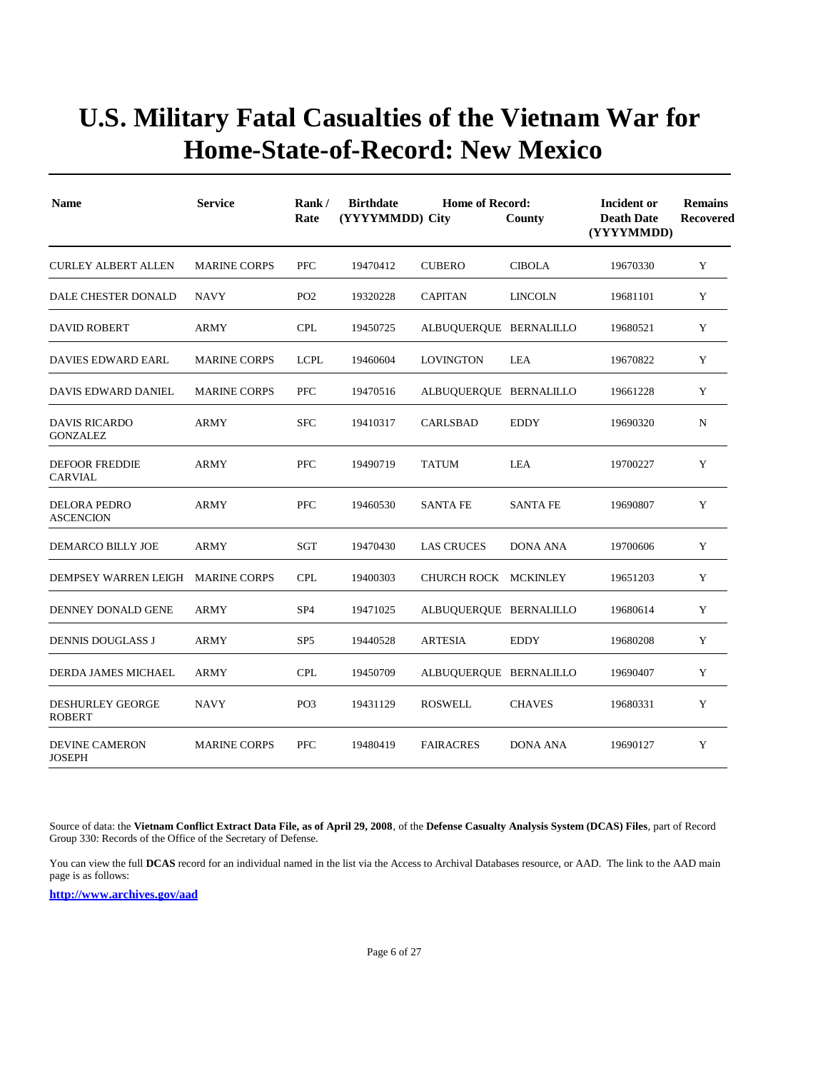| <b>Name</b>                              | <b>Service</b>      | Rank/<br>Rate   | <b>Birthdate</b><br>(YYYYMMDD) City | <b>Home of Record:</b> | County          | <b>Incident or</b><br><b>Death Date</b><br>(YYYYMMDD) | <b>Remains</b><br><b>Recovered</b> |
|------------------------------------------|---------------------|-----------------|-------------------------------------|------------------------|-----------------|-------------------------------------------------------|------------------------------------|
| <b>CURLEY ALBERT ALLEN</b>               | <b>MARINE CORPS</b> | PFC             | 19470412                            | <b>CUBERO</b>          | <b>CIBOLA</b>   | 19670330                                              | Y                                  |
| DALE CHESTER DONALD                      | <b>NAVY</b>         | PO <sub>2</sub> | 19320228                            | <b>CAPITAN</b>         | <b>LINCOLN</b>  | 19681101                                              | Y                                  |
| <b>DAVID ROBERT</b>                      | <b>ARMY</b>         | <b>CPL</b>      | 19450725                            | ALBUQUERQUE BERNALILLO |                 | 19680521                                              | Y                                  |
| DAVIES EDWARD EARL                       | <b>MARINE CORPS</b> | <b>LCPL</b>     | 19460604                            | <b>LOVINGTON</b>       | LEA             | 19670822                                              | Y                                  |
| DAVIS EDWARD DANIEL                      | <b>MARINE CORPS</b> | <b>PFC</b>      | 19470516                            | ALBUQUERQUE BERNALILLO |                 | 19661228                                              | Y                                  |
| <b>DAVIS RICARDO</b><br><b>GONZALEZ</b>  | <b>ARMY</b>         | <b>SFC</b>      | 19410317                            | CARLSBAD               | <b>EDDY</b>     | 19690320                                              | N                                  |
| <b>DEFOOR FREDDIE</b><br>CARVIAL         | <b>ARMY</b>         | PFC             | 19490719                            | <b>TATUM</b>           | LEA             | 19700227                                              | Y                                  |
| <b>DELORA PEDRO</b><br><b>ASCENCION</b>  | <b>ARMY</b>         | <b>PFC</b>      | 19460530                            | <b>SANTA FE</b>        | <b>SANTA FE</b> | 19690807                                              | Y                                  |
| DEMARCO BILLY JOE                        | <b>ARMY</b>         | <b>SGT</b>      | 19470430                            | <b>LAS CRUCES</b>      | <b>DONA ANA</b> | 19700606                                              | $\mathbf Y$                        |
| DEMPSEY WARREN LEIGH                     | <b>MARINE CORPS</b> | <b>CPL</b>      | 19400303                            | CHURCH ROCK MCKINLEY   |                 | 19651203                                              | Y                                  |
| DENNEY DONALD GENE                       | <b>ARMY</b>         | SP <sub>4</sub> | 19471025                            | ALBUQUERQUE BERNALILLO |                 | 19680614                                              | Y                                  |
| <b>DENNIS DOUGLASS J</b>                 | <b>ARMY</b>         | SP <sub>5</sub> | 19440528                            | <b>ARTESIA</b>         | <b>EDDY</b>     | 19680208                                              | Y                                  |
| DERDA JAMES MICHAEL                      | <b>ARMY</b>         | <b>CPL</b>      | 19450709                            | ALBUQUERQUE BERNALILLO |                 | 19690407                                              | Y                                  |
| <b>DESHURLEY GEORGE</b><br><b>ROBERT</b> | NAVY                | PO <sub>3</sub> | 19431129                            | <b>ROSWELL</b>         | <b>CHAVES</b>   | 19680331                                              | Y                                  |
| <b>DEVINE CAMERON</b><br><b>JOSEPH</b>   | <b>MARINE CORPS</b> | PFC             | 19480419                            | <b>FAIRACRES</b>       | <b>DONA ANA</b> | 19690127                                              | Y                                  |

Source of data: the **Vietnam Conflict Extract Data File, as of April 29, 2008**, of the **Defense Casualty Analysis System (DCAS) Files**, part of Record Group 330: Records of the Office of the Secretary of Defense.

You can view the full **DCAS** record for an individual named in the list via the Access to Archival Databases resource, or AAD. The link to the AAD main page is as follows: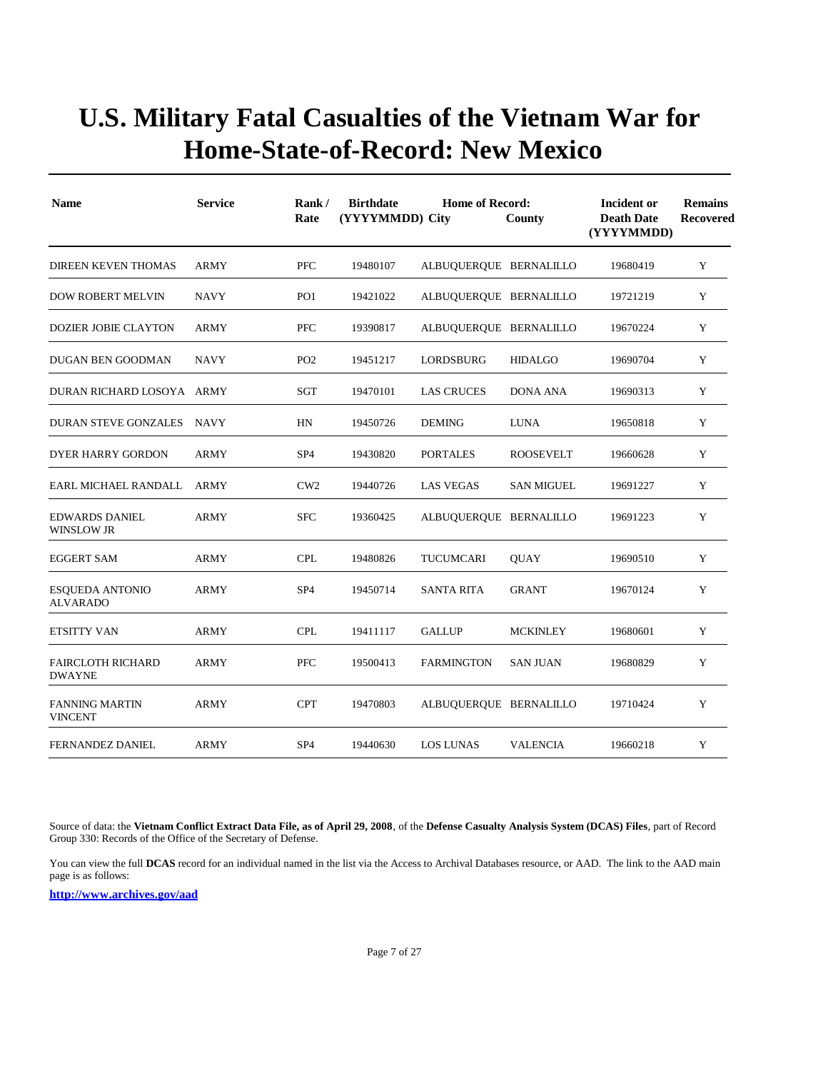| <b>Name</b>                                | <b>Service</b> | Rank/<br>Rate   | <b>Birthdate</b><br>(YYYYMMDD) City | <b>Home of Record:</b> | County            | Incident or<br><b>Death Date</b><br>(YYYYMMDD) | <b>Remains</b><br>Recovered |
|--------------------------------------------|----------------|-----------------|-------------------------------------|------------------------|-------------------|------------------------------------------------|-----------------------------|
| DIREEN KEVEN THOMAS                        | <b>ARMY</b>    | PFC             | 19480107                            | ALBUQUERQUE BERNALILLO |                   | 19680419                                       | Y                           |
| <b>DOW ROBERT MELVIN</b>                   | <b>NAVY</b>    | PO <sub>1</sub> | 19421022                            | ALBUQUERQUE BERNALILLO |                   | 19721219                                       | Y                           |
| <b>DOZIER JOBIE CLAYTON</b>                | <b>ARMY</b>    | <b>PFC</b>      | 19390817                            | ALBUQUERQUE BERNALILLO |                   | 19670224                                       | Y                           |
| DUGAN BEN GOODMAN                          | <b>NAVY</b>    | PO <sub>2</sub> | 19451217                            | LORDSBURG              | <b>HIDALGO</b>    | 19690704                                       | Y                           |
| DURAN RICHARD LOSOYA ARMY                  |                | <b>SGT</b>      | 19470101                            | <b>LAS CRUCES</b>      | <b>DONA ANA</b>   | 19690313                                       | Y                           |
| <b>DURAN STEVE GONZALES</b>                | NAVY           | HN              | 19450726                            | <b>DEMING</b>          | <b>LUNA</b>       | 19650818                                       | Y                           |
| DYER HARRY GORDON                          | <b>ARMY</b>    | SP <sub>4</sub> | 19430820                            | <b>PORTALES</b>        | <b>ROOSEVELT</b>  | 19660628                                       | Y                           |
| EARL MICHAEL RANDALL                       | ARMY           | CW2             | 19440726                            | <b>LAS VEGAS</b>       | <b>SAN MIGUEL</b> | 19691227                                       | Y                           |
| <b>EDWARDS DANIEL</b><br><b>WINSLOW JR</b> | <b>ARMY</b>    | <b>SFC</b>      | 19360425                            | ALBUQUERQUE BERNALILLO |                   | 19691223                                       | Y                           |
| <b>EGGERT SAM</b>                          | <b>ARMY</b>    | <b>CPL</b>      | 19480826                            | TUCUMCARI              | <b>OUAY</b>       | 19690510                                       | Y                           |
| <b>ESQUEDA ANTONIO</b><br>ALVARADO         | <b>ARMY</b>    | SP <sub>4</sub> | 19450714                            | <b>SANTA RITA</b>      | <b>GRANT</b>      | 19670124                                       | Y                           |
| ETSITTY VAN                                | ARMY           | <b>CPL</b>      | 19411117                            | <b>GALLUP</b>          | <b>MCKINLEY</b>   | 19680601                                       | Y                           |
| <b>FAIRCLOTH RICHARD</b><br><b>DWAYNE</b>  | <b>ARMY</b>    | PFC             | 19500413                            | <b>FARMINGTON</b>      | <b>SAN JUAN</b>   | 19680829                                       | Y                           |
| <b>FANNING MARTIN</b><br><b>VINCENT</b>    | <b>ARMY</b>    | <b>CPT</b>      | 19470803                            | ALBUQUERQUE BERNALILLO |                   | 19710424                                       | Y                           |
| FERNANDEZ DANIEL                           | ARMY           | SP <sub>4</sub> | 19440630                            | LOS LUNAS              | <b>VALENCIA</b>   | 19660218                                       | Y                           |

Source of data: the **Vietnam Conflict Extract Data File, as of April 29, 2008**, of the **Defense Casualty Analysis System (DCAS) Files**, part of Record Group 330: Records of the Office of the Secretary of Defense.

You can view the full **DCAS** record for an individual named in the list via the Access to Archival Databases resource, or AAD. The link to the AAD main page is as follows: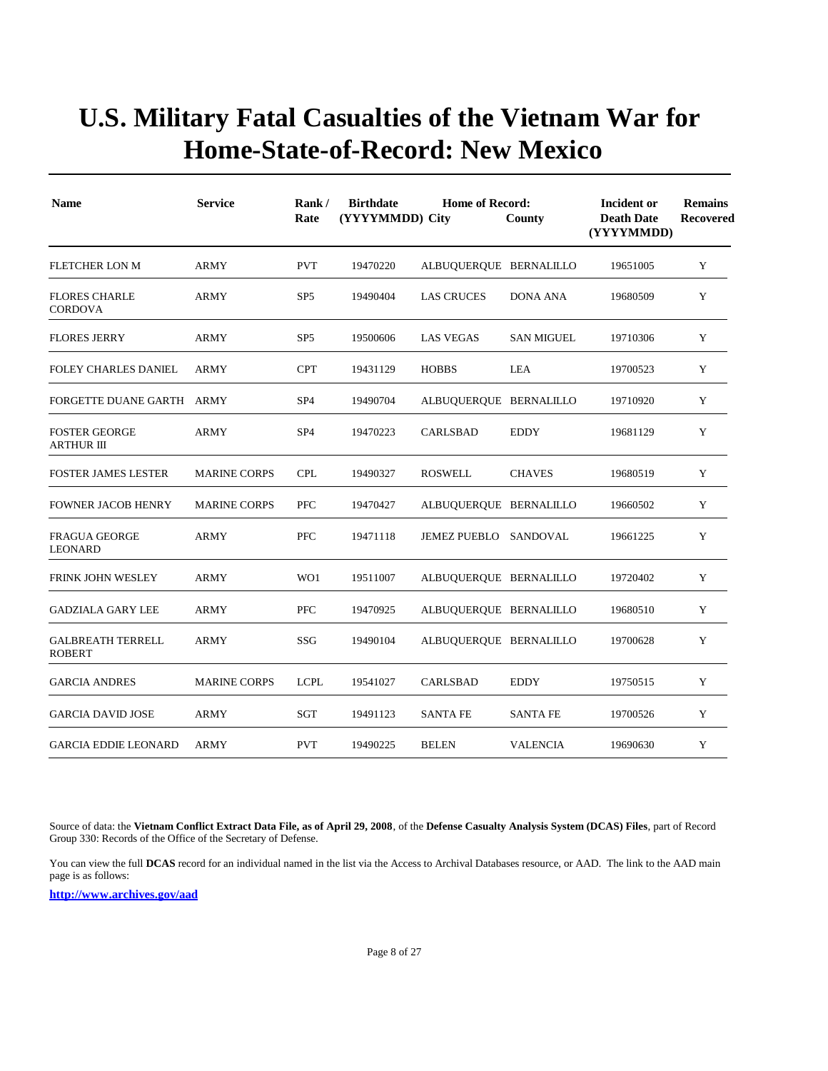| <b>Name</b>                               | <b>Service</b>      | Rank/<br>Rate   | <b>Birthdate</b> | <b>Home of Record:</b><br>(YYYYMMDD) City<br>County |                   | Incident or<br><b>Death Date</b><br>(YYYYMMDD) | <b>Remains</b><br>Recovered |
|-------------------------------------------|---------------------|-----------------|------------------|-----------------------------------------------------|-------------------|------------------------------------------------|-----------------------------|
| <b>FLETCHER LON M</b>                     | <b>ARMY</b>         | <b>PVT</b>      | 19470220         | ALBUQUERQUE BERNALILLO                              |                   | 19651005                                       | Y                           |
| <b>FLORES CHARLE</b><br><b>CORDOVA</b>    | <b>ARMY</b>         | SP <sub>5</sub> | 19490404         | <b>LAS CRUCES</b>                                   | <b>DONA ANA</b>   | 19680509                                       | Y                           |
| <b>FLORES JERRY</b>                       | <b>ARMY</b>         | SP <sub>5</sub> | 19500606         | <b>LAS VEGAS</b>                                    | <b>SAN MIGUEL</b> | 19710306                                       | Y                           |
| <b>FOLEY CHARLES DANIEL</b>               | <b>ARMY</b>         | <b>CPT</b>      | 19431129         | <b>HOBBS</b>                                        | <b>LEA</b>        | 19700523                                       | Y                           |
| FORGETTE DUANE GARTH ARMY                 |                     | SP <sub>4</sub> | 19490704         | ALBUQUERQUE BERNALILLO                              |                   | 19710920                                       | Y                           |
| <b>FOSTER GEORGE</b><br><b>ARTHUR III</b> | <b>ARMY</b>         | SP <sub>4</sub> | 19470223         | CARLSBAD                                            | <b>EDDY</b>       | 19681129                                       | Y                           |
| <b>FOSTER JAMES LESTER</b>                | <b>MARINE CORPS</b> | <b>CPL</b>      | 19490327         | <b>ROSWELL</b>                                      | <b>CHAVES</b>     | 19680519                                       | Y                           |
| <b>FOWNER JACOB HENRY</b>                 | <b>MARINE CORPS</b> | <b>PFC</b>      | 19470427         | ALBUQUERQUE BERNALILLO                              |                   | 19660502                                       | Y                           |
| <b>FRAGUA GEORGE</b><br><b>LEONARD</b>    | <b>ARMY</b>         | <b>PFC</b>      | 19471118         | <b>JEMEZ PUEBLO</b>                                 | SANDOVAL          | 19661225                                       | Y                           |
| <b>FRINK JOHN WESLEY</b>                  | ARMY                | WO1             | 19511007         | ALBUQUERQUE BERNALILLO                              |                   | 19720402                                       | Y                           |
| <b>GADZIALA GARY LEE</b>                  | ARMY                | <b>PFC</b>      | 19470925         | ALBUQUERQUE BERNALILLO                              |                   | 19680510                                       | Y                           |
| <b>GALBREATH TERRELL</b><br><b>ROBERT</b> | ARMY                | SSG             | 19490104         | ALBUQUERQUE BERNALILLO                              |                   | 19700628                                       | Y                           |
| <b>GARCIA ANDRES</b>                      | <b>MARINE CORPS</b> | <b>LCPL</b>     | 19541027         | CARLSBAD                                            | <b>EDDY</b>       | 19750515                                       | Y                           |
| <b>GARCIA DAVID JOSE</b>                  | ARMY                | SGT             | 19491123         | <b>SANTA FE</b>                                     | <b>SANTA FE</b>   | 19700526                                       | Y                           |
| <b>GARCIA EDDIE LEONARD</b>               | <b>ARMY</b>         | <b>PVT</b>      | 19490225         | <b>BELEN</b>                                        | <b>VALENCIA</b>   | 19690630                                       | Y                           |

Source of data: the **Vietnam Conflict Extract Data File, as of April 29, 2008**, of the **Defense Casualty Analysis System (DCAS) Files**, part of Record Group 330: Records of the Office of the Secretary of Defense.

You can view the full **DCAS** record for an individual named in the list via the Access to Archival Databases resource, or AAD. The link to the AAD main page is as follows: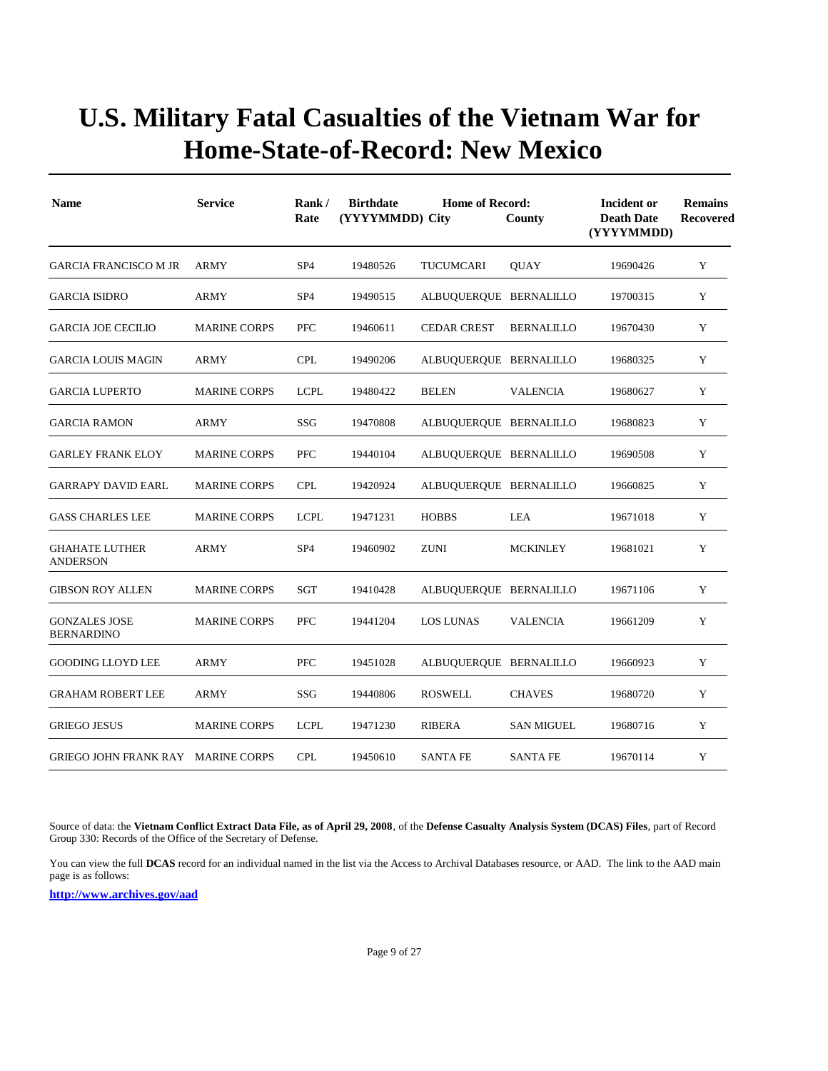| <b>Name</b>                               | <b>Service</b>      | Rank/<br>Rate   | <b>Birthdate</b><br>(YYYYMMDD) City | <b>Home of Record:</b> | County            | Incident or<br><b>Death Date</b><br>(YYYYMMDD) | <b>Remains</b><br>Recovered |
|-------------------------------------------|---------------------|-----------------|-------------------------------------|------------------------|-------------------|------------------------------------------------|-----------------------------|
| <b>GARCIA FRANCISCO M JR</b>              | <b>ARMY</b>         | SP <sub>4</sub> | 19480526                            | TUCUMCARI              | <b>QUAY</b>       | 19690426                                       | Y                           |
| <b>GARCIA ISIDRO</b>                      | ARMY                | SP <sub>4</sub> | 19490515                            | ALBUQUERQUE BERNALILLO |                   | 19700315                                       | Y                           |
| <b>GARCIA JOE CECILIO</b>                 | <b>MARINE CORPS</b> | <b>PFC</b>      | 19460611                            | <b>CEDAR CREST</b>     | <b>BERNALILLO</b> | 19670430                                       | Y                           |
| <b>GARCIA LOUIS MAGIN</b>                 | <b>ARMY</b>         | <b>CPL</b>      | 19490206                            | ALBUQUERQUE BERNALILLO |                   | 19680325                                       | Y                           |
| <b>GARCIA LUPERTO</b>                     | <b>MARINE CORPS</b> | <b>LCPL</b>     | 19480422                            | <b>BELEN</b>           | <b>VALENCIA</b>   | 19680627                                       | Y                           |
| <b>GARCIA RAMON</b>                       | ARMY                | SSG             | 19470808                            | ALBUQUERQUE BERNALILLO |                   | 19680823                                       | Y                           |
| <b>GARLEY FRANK ELOY</b>                  | <b>MARINE CORPS</b> | PFC             | 19440104                            | ALBUQUERQUE BERNALILLO |                   | 19690508                                       | Y                           |
| <b>GARRAPY DAVID EARL</b>                 | <b>MARINE CORPS</b> | <b>CPL</b>      | 19420924                            | ALBUQUERQUE BERNALILLO |                   | 19660825                                       | Y                           |
| <b>GASS CHARLES LEE</b>                   | <b>MARINE CORPS</b> | <b>LCPL</b>     | 19471231                            | <b>HOBBS</b>           | <b>LEA</b>        | 19671018                                       | Y                           |
| <b>GHAHATE LUTHER</b><br><b>ANDERSON</b>  | <b>ARMY</b>         | SP <sub>4</sub> | 19460902                            | <b>ZUNI</b>            | <b>MCKINLEY</b>   | 19681021                                       | Y                           |
| <b>GIBSON ROY ALLEN</b>                   | <b>MARINE CORPS</b> | <b>SGT</b>      | 19410428                            | ALBUQUERQUE BERNALILLO |                   | 19671106                                       | Y                           |
| <b>GONZALES JOSE</b><br><b>BERNARDINO</b> | <b>MARINE CORPS</b> | <b>PFC</b>      | 19441204                            | <b>LOS LUNAS</b>       | <b>VALENCIA</b>   | 19661209                                       | Y                           |
| <b>GOODING LLOYD LEE</b>                  | ARMY                | PFC             | 19451028                            | ALBUQUERQUE BERNALILLO |                   | 19660923                                       | Y                           |
| <b>GRAHAM ROBERT LEE</b>                  | ARMY                | SSG             | 19440806                            | <b>ROSWELL</b>         | <b>CHAVES</b>     | 19680720                                       | Y                           |
| <b>GRIEGO JESUS</b>                       | <b>MARINE CORPS</b> | <b>LCPL</b>     | 19471230                            | <b>RIBERA</b>          | <b>SAN MIGUEL</b> | 19680716                                       | Y                           |
| GRIEGO JOHN FRANK RAY MARINE CORPS        |                     | <b>CPL</b>      | 19450610                            | <b>SANTA FE</b>        | <b>SANTA FE</b>   | 19670114                                       | Y                           |

Source of data: the **Vietnam Conflict Extract Data File, as of April 29, 2008**, of the **Defense Casualty Analysis System (DCAS) Files**, part of Record Group 330: Records of the Office of the Secretary of Defense.

You can view the full **DCAS** record for an individual named in the list via the Access to Archival Databases resource, or AAD. The link to the AAD main page is as follows: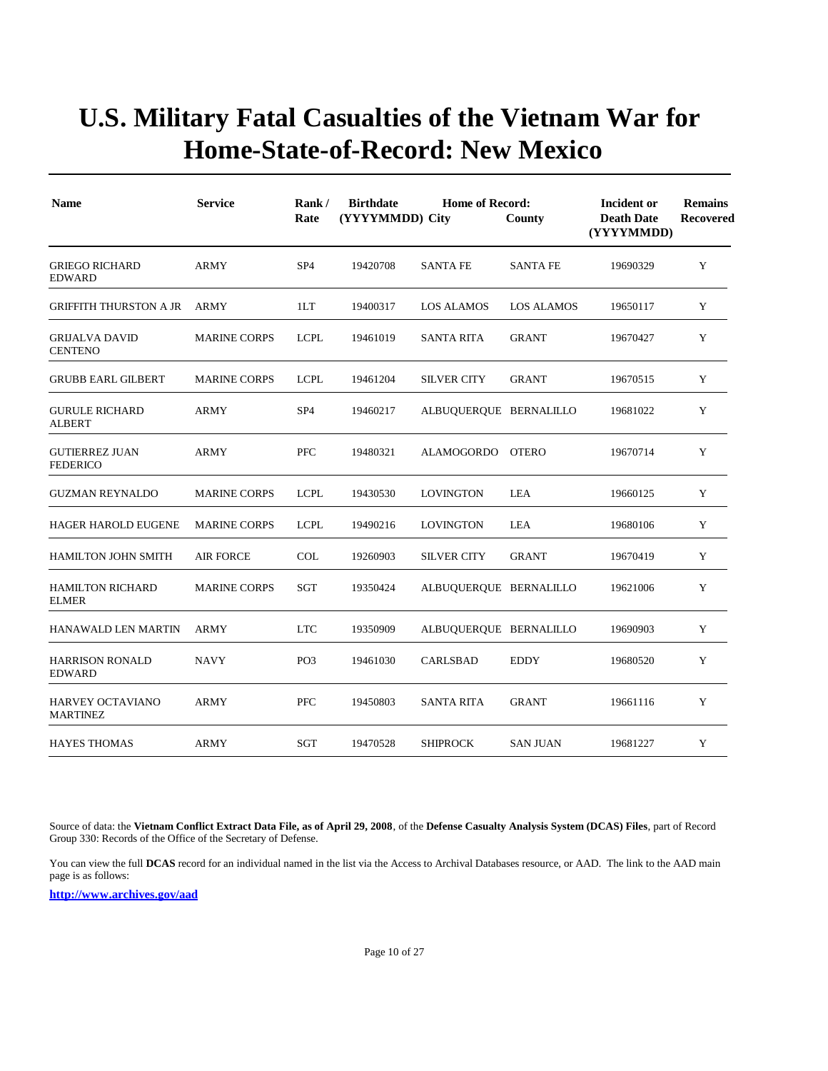| <b>Name</b>                              | <b>Service</b>      | Rank/<br>Rate   | <b>Birthdate</b><br><b>Home of Record:</b><br>(YYYYMMDD) City<br>County |                        |                 | Incident or<br><b>Death Date</b><br>(YYYYMMDD) | <b>Remains</b><br><b>Recovered</b> |
|------------------------------------------|---------------------|-----------------|-------------------------------------------------------------------------|------------------------|-----------------|------------------------------------------------|------------------------------------|
| <b>GRIEGO RICHARD</b><br><b>EDWARD</b>   | <b>ARMY</b>         | SP <sub>4</sub> | 19420708                                                                | <b>SANTA FE</b>        | <b>SANTA FE</b> | 19690329                                       | Y                                  |
| GRIFFITH THURSTON A JR                   | ARMY                | 1LT             | 19400317                                                                | LOS ALAMOS             | LOS ALAMOS      | 19650117                                       | Y                                  |
| <b>GRIJALVA DAVID</b><br><b>CENTENO</b>  | <b>MARINE CORPS</b> | <b>LCPL</b>     | 19461019                                                                | <b>SANTA RITA</b>      | <b>GRANT</b>    | 19670427                                       | Y                                  |
| <b>GRUBB EARL GILBERT</b>                | <b>MARINE CORPS</b> | <b>LCPL</b>     | 19461204                                                                | <b>SILVER CITY</b>     | <b>GRANT</b>    | 19670515                                       | Y                                  |
| <b>GURULE RICHARD</b><br><b>ALBERT</b>   | ARMY                | SP <sub>4</sub> | 19460217                                                                | ALBUQUERQUE BERNALILLO |                 | 19681022                                       | Y                                  |
| <b>GUTIERREZ JUAN</b><br><b>FEDERICO</b> | <b>ARMY</b>         | <b>PFC</b>      | 19480321                                                                | ALAMOGORDO OTERO       |                 | 19670714                                       | Y                                  |
| <b>GUZMAN REYNALDO</b>                   | <b>MARINE CORPS</b> | <b>LCPL</b>     | 19430530                                                                | <b>LOVINGTON</b>       | LEA             | 19660125                                       | Y                                  |
| <b>HAGER HAROLD EUGENE</b>               | <b>MARINE CORPS</b> | <b>LCPL</b>     | 19490216                                                                | <b>LOVINGTON</b>       | LEA             | 19680106                                       | Y                                  |
| <b>HAMILTON JOHN SMITH</b>               | <b>AIR FORCE</b>    | COL             | 19260903                                                                | <b>SILVER CITY</b>     | <b>GRANT</b>    | 19670419                                       | Y                                  |
| <b>HAMILTON RICHARD</b><br><b>ELMER</b>  | <b>MARINE CORPS</b> | SGT             | 19350424                                                                | ALBUQUERQUE BERNALILLO |                 | 19621006                                       | Y                                  |
| <b>HANAWALD LEN MARTIN</b>               | <b>ARMY</b>         | <b>LTC</b>      | 19350909                                                                | ALBUQUERQUE BERNALILLO |                 | 19690903                                       | Y                                  |
| <b>HARRISON RONALD</b><br><b>EDWARD</b>  | <b>NAVY</b>         | PO <sub>3</sub> | 19461030                                                                | CARLSBAD               | <b>EDDY</b>     | 19680520                                       | Y                                  |
| HARVEY OCTAVIANO<br><b>MARTINEZ</b>      | <b>ARMY</b>         | <b>PFC</b>      | 19450803                                                                | <b>SANTA RITA</b>      | <b>GRANT</b>    | 19661116                                       | Y                                  |
| <b>HAYES THOMAS</b>                      | <b>ARMY</b>         | SGT             | 19470528                                                                | <b>SHIPROCK</b>        | <b>SAN JUAN</b> | 19681227                                       | Y                                  |

Source of data: the **Vietnam Conflict Extract Data File, as of April 29, 2008**, of the **Defense Casualty Analysis System (DCAS) Files**, part of Record Group 330: Records of the Office of the Secretary of Defense.

You can view the full **DCAS** record for an individual named in the list via the Access to Archival Databases resource, or AAD. The link to the AAD main page is as follows: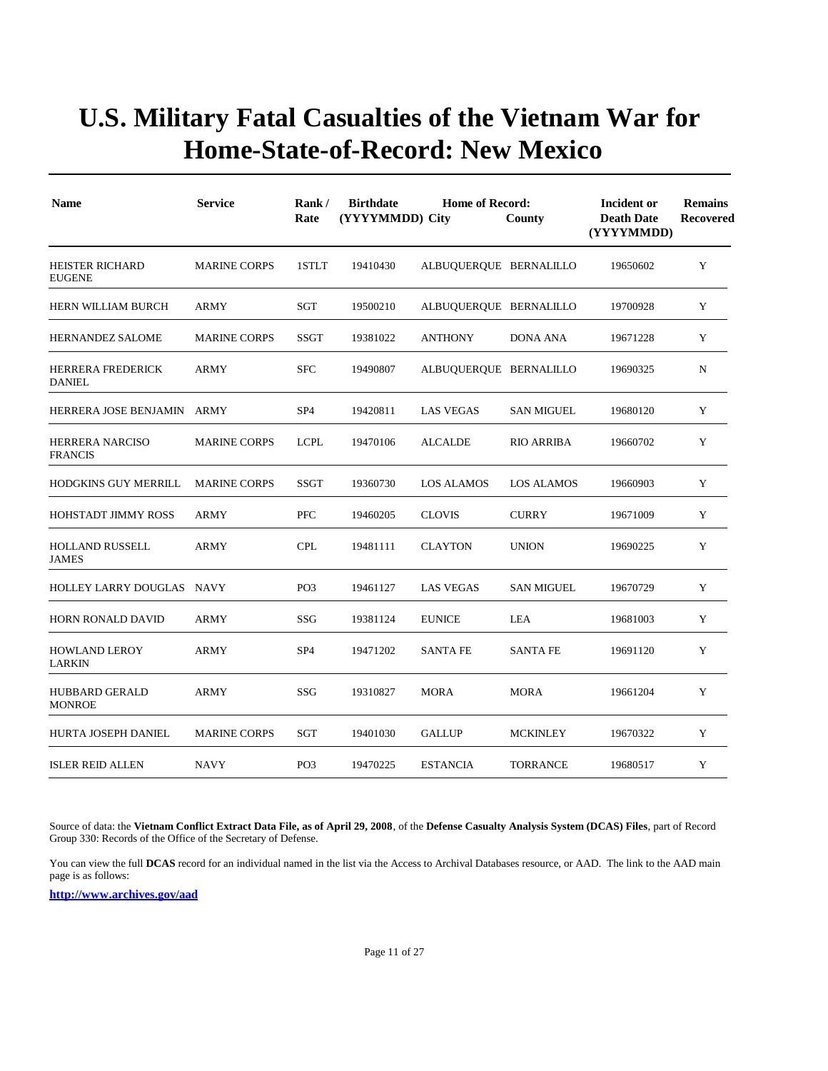| <b>Name</b>                               | <b>Service</b>      | Rank/<br>Rate   | <b>Birthdate</b><br>(YYYYMMDD) City | <b>Home of Record:</b> | County            | Incident or<br><b>Death Date</b><br>(YYYYMMDD) | <b>Remains</b><br>Recovered |
|-------------------------------------------|---------------------|-----------------|-------------------------------------|------------------------|-------------------|------------------------------------------------|-----------------------------|
| <b>HEISTER RICHARD</b><br><b>EUGENE</b>   | <b>MARINE CORPS</b> | 1STLT           | 19410430                            | ALBUQUERQUE BERNALILLO |                   | 19650602                                       | Y                           |
| HERN WILLIAM BURCH                        | <b>ARMY</b>         | <b>SGT</b>      | 19500210                            | ALBUQUERQUE BERNALILLO |                   | 19700928                                       | Y                           |
| <b>HERNANDEZ SALOME</b>                   | <b>MARINE CORPS</b> | <b>SSGT</b>     | 19381022                            | <b>ANTHONY</b>         | DONA ANA          | 19671228                                       | Y                           |
| <b>HERRERA FREDERICK</b><br><b>DANIEL</b> | <b>ARMY</b>         | <b>SFC</b>      | 19490807                            | ALBUQUERQUE BERNALILLO |                   | 19690325                                       | N                           |
| HERRERA JOSE BENJAMIN                     | ARMY                | SP <sub>4</sub> | 19420811                            | <b>LAS VEGAS</b>       | <b>SAN MIGUEL</b> | 19680120                                       | Y                           |
| <b>HERRERA NARCISO</b><br><b>FRANCIS</b>  | <b>MARINE CORPS</b> | <b>LCPL</b>     | 19470106                            | <b>ALCALDE</b>         | <b>RIO ARRIBA</b> | 19660702                                       | Y                           |
| <b>HODGKINS GUY MERRILL</b>               | <b>MARINE CORPS</b> | SSGT            | 19360730                            | <b>LOS ALAMOS</b>      | <b>LOS ALAMOS</b> | 19660903                                       | Y                           |
| <b>HOHSTADT JIMMY ROSS</b>                | <b>ARMY</b>         | PFC             | 19460205                            | <b>CLOVIS</b>          | <b>CURRY</b>      | 19671009                                       | Y                           |
| <b>HOLLAND RUSSELL</b><br><b>JAMES</b>    | <b>ARMY</b>         | <b>CPL</b>      | 19481111                            | <b>CLAYTON</b>         | <b>UNION</b>      | 19690225                                       | Y                           |
| HOLLEY LARRY DOUGLAS NAVY                 |                     | PO <sub>3</sub> | 19461127                            | <b>LAS VEGAS</b>       | <b>SAN MIGUEL</b> | 19670729                                       | Y                           |
| <b>HORN RONALD DAVID</b>                  | <b>ARMY</b>         | SSG             | 19381124                            | <b>EUNICE</b>          | LEA               | 19681003                                       | Y                           |
| <b>HOWLAND LEROY</b><br><b>LARKIN</b>     | ARMY                | SP <sub>4</sub> | 19471202                            | <b>SANTA FE</b>        | <b>SANTA FE</b>   | 19691120                                       | Y                           |
| <b>HUBBARD GERALD</b><br><b>MONROE</b>    | <b>ARMY</b>         | SSG             | 19310827                            | <b>MORA</b>            | <b>MORA</b>       | 19661204                                       | Y                           |
| HURTA JOSEPH DANIEL                       | <b>MARINE CORPS</b> | SGT             | 19401030                            | <b>GALLUP</b>          | <b>MCKINLEY</b>   | 19670322                                       | Y                           |
| <b>ISLER REID ALLEN</b>                   | <b>NAVY</b>         | PO <sub>3</sub> | 19470225                            | <b>ESTANCIA</b>        | TORRANCE          | 19680517                                       | Y                           |

Source of data: the **Vietnam Conflict Extract Data File, as of April 29, 2008**, of the **Defense Casualty Analysis System (DCAS) Files**, part of Record Group 330: Records of the Office of the Secretary of Defense.

You can view the full **DCAS** record for an individual named in the list via the Access to Archival Databases resource, or AAD. The link to the AAD main page is as follows: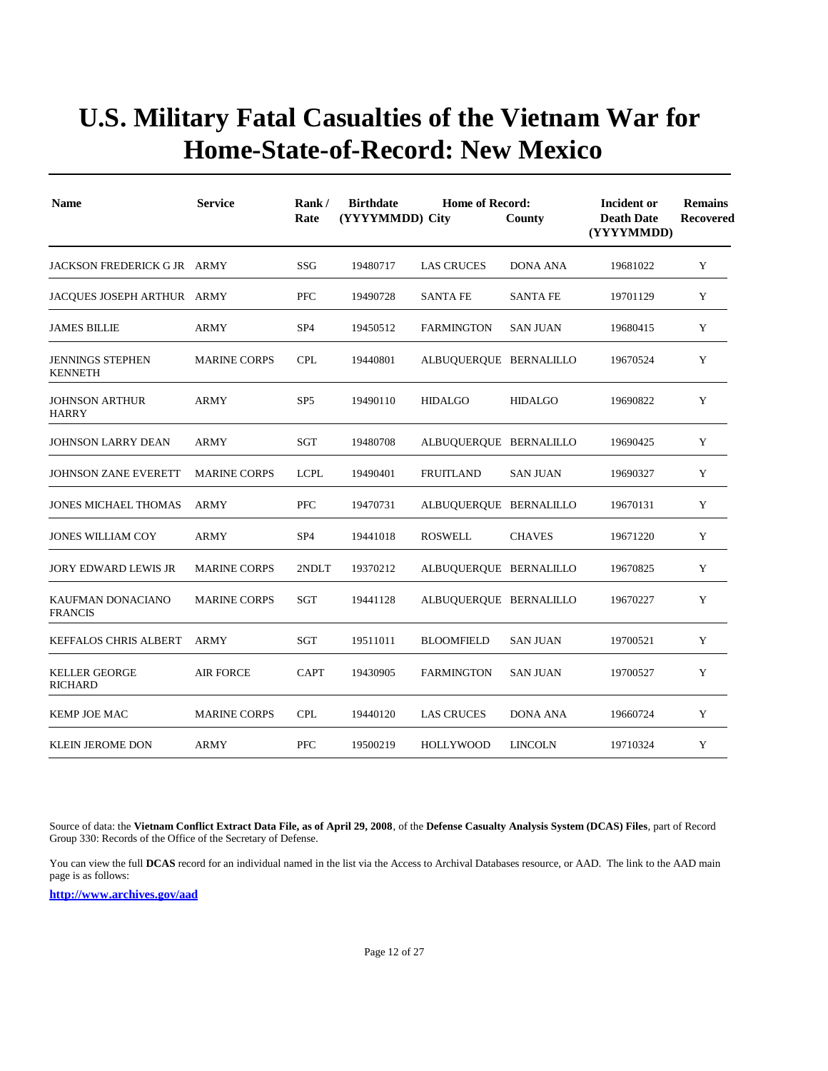| <b>Name</b>                               | <b>Service</b>      | Rank/<br>Rate   | <b>Birthdate</b><br><b>Home of Record:</b><br>(YYYYMMDD) City<br>County |                        |                 |          | <b>Remains</b><br><b>Recovered</b> |
|-------------------------------------------|---------------------|-----------------|-------------------------------------------------------------------------|------------------------|-----------------|----------|------------------------------------|
| JACKSON FREDERICK G JR ARMY               |                     | SSG             | 19480717                                                                | <b>LAS CRUCES</b>      | <b>DONA ANA</b> | 19681022 | Y                                  |
| JACOUES JOSEPH ARTHUR ARMY                |                     | <b>PFC</b>      | 19490728                                                                | <b>SANTA FE</b>        | <b>SANTA FE</b> | 19701129 | Y                                  |
| <b>JAMES BILLIE</b>                       | <b>ARMY</b>         | SP <sub>4</sub> | 19450512                                                                | <b>FARMINGTON</b>      | <b>SAN JUAN</b> | 19680415 | Y                                  |
| <b>JENNINGS STEPHEN</b><br><b>KENNETH</b> | <b>MARINE CORPS</b> | <b>CPL</b>      | 19440801                                                                | ALBUQUERQUE BERNALILLO |                 | 19670524 | Y                                  |
| JOHNSON ARTHUR<br><b>HARRY</b>            | <b>ARMY</b>         | SP <sub>5</sub> | 19490110                                                                | <b>HIDALGO</b>         | <b>HIDALGO</b>  | 19690822 | Y                                  |
| <b>JOHNSON LARRY DEAN</b>                 | <b>ARMY</b>         | SGT             | 19480708                                                                | ALBUQUERQUE BERNALILLO |                 | 19690425 | Y                                  |
| <b>JOHNSON ZANE EVERETT</b>               | <b>MARINE CORPS</b> | <b>LCPL</b>     | 19490401                                                                | <b>FRUITLAND</b>       | <b>SAN JUAN</b> | 19690327 | Y                                  |
| <b>JONES MICHAEL THOMAS</b>               | <b>ARMY</b>         | <b>PFC</b>      | 19470731                                                                | ALBUQUERQUE BERNALILLO |                 | 19670131 | Y                                  |
| <b>JONES WILLIAM COY</b>                  | <b>ARMY</b>         | SP <sub>4</sub> | 19441018                                                                | <b>ROSWELL</b>         | <b>CHAVES</b>   | 19671220 | Y                                  |
| <b>JORY EDWARD LEWIS JR</b>               | <b>MARINE CORPS</b> | 2NDLT           | 19370212                                                                | ALBUQUERQUE BERNALILLO |                 | 19670825 | Y                                  |
| KAUFMAN DONACIANO<br><b>FRANCIS</b>       | <b>MARINE CORPS</b> | SGT             | 19441128                                                                | ALBUQUERQUE BERNALILLO |                 | 19670227 | Y                                  |
| KEFFALOS CHRIS ALBERT                     | ARMY                | SGT             | 19511011                                                                | <b>BLOOMFIELD</b>      | <b>SAN JUAN</b> | 19700521 | Y                                  |
| <b>KELLER GEORGE</b><br><b>RICHARD</b>    | <b>AIR FORCE</b>    | <b>CAPT</b>     | 19430905                                                                | <b>FARMINGTON</b>      | <b>SAN JUAN</b> | 19700527 | Y                                  |
| KEMP JOE MAC                              | <b>MARINE CORPS</b> | <b>CPL</b>      | 19440120                                                                | LAS CRUCES             | DONA ANA        | 19660724 | Y                                  |
| <b>KLEIN JEROME DON</b>                   | <b>ARMY</b>         | <b>PFC</b>      | 19500219                                                                | <b>HOLLYWOOD</b>       | <b>LINCOLN</b>  | 19710324 | Y                                  |

Source of data: the **Vietnam Conflict Extract Data File, as of April 29, 2008**, of the **Defense Casualty Analysis System (DCAS) Files**, part of Record Group 330: Records of the Office of the Secretary of Defense.

You can view the full **DCAS** record for an individual named in the list via the Access to Archival Databases resource, or AAD. The link to the AAD main page is as follows: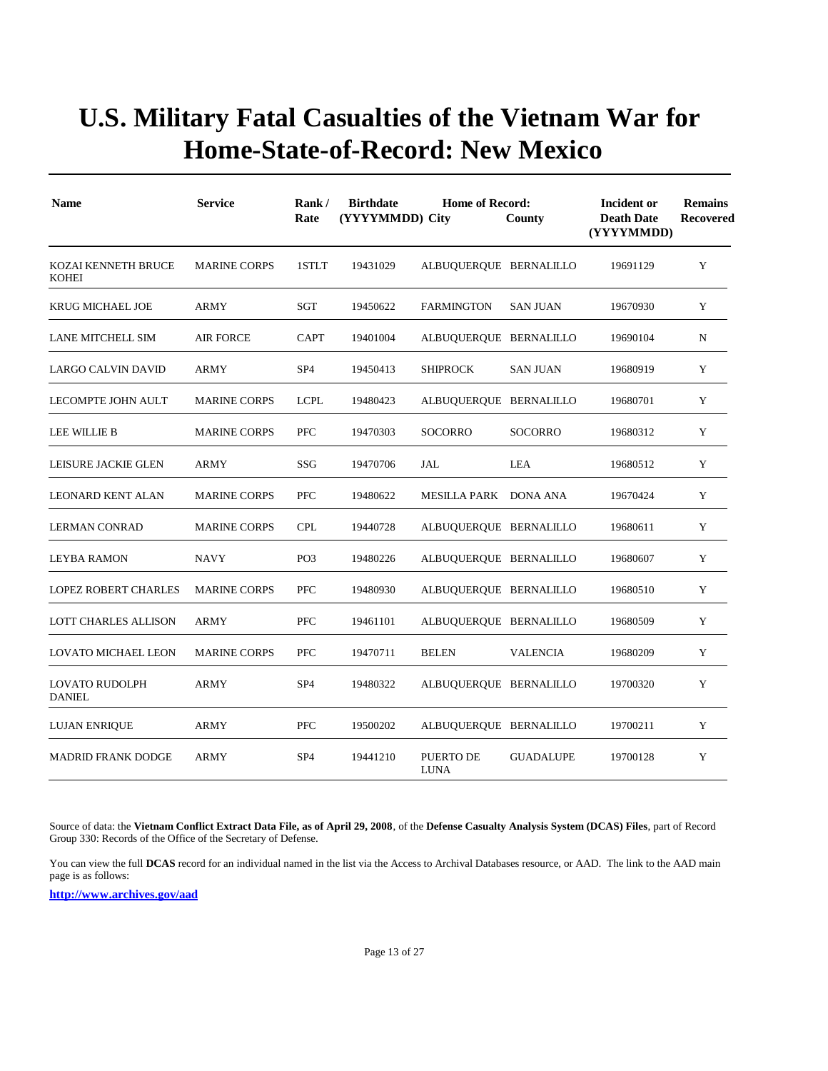| <b>Name</b>                                | <b>Service</b>      | Rank/<br>Rate   | <b>Birthdate</b><br>(YYYYMMDD) City | <b>Home of Record:</b>   | County           | Incident or<br><b>Death Date</b><br>(YYYYMMDD) | <b>Remains</b><br>Recovered |
|--------------------------------------------|---------------------|-----------------|-------------------------------------|--------------------------|------------------|------------------------------------------------|-----------------------------|
| <b>KOZAI KENNETH BRUCE</b><br><b>KOHEI</b> | <b>MARINE CORPS</b> | 1STLT           | 19431029                            | ALBUQUERQUE BERNALILLO   |                  | 19691129                                       | Y                           |
| <b>KRUG MICHAEL JOE</b>                    | <b>ARMY</b>         | SGT             | 19450622                            | <b>FARMINGTON</b>        | <b>SAN JUAN</b>  | 19670930                                       | Y                           |
| LANE MITCHELL SIM                          | AIR FORCE           | <b>CAPT</b>     | 19401004                            | ALBUQUERQUE BERNALILLO   |                  | 19690104                                       | N                           |
| LARGO CALVIN DAVID                         | ARMY                | SP <sub>4</sub> | 19450413                            | <b>SHIPROCK</b>          | <b>SAN JUAN</b>  | 19680919                                       | Y                           |
| LECOMPTE JOHN AULT                         | <b>MARINE CORPS</b> | <b>LCPL</b>     | 19480423                            | ALBUQUERQUE BERNALILLO   |                  | 19680701                                       | Y                           |
| LEE WILLIE B                               | <b>MARINE CORPS</b> | <b>PFC</b>      | 19470303                            | <b>SOCORRO</b>           | <b>SOCORRO</b>   | 19680312                                       | Y                           |
| LEISURE JACKIE GLEN                        | ARMY                | SSG             | 19470706                            | JAL                      | LEA              | 19680512                                       | Y                           |
| LEONARD KENT ALAN                          | <b>MARINE CORPS</b> | <b>PFC</b>      | 19480622                            | MESILLA PARK DONA ANA    |                  | 19670424                                       | Y                           |
| <b>LERMAN CONRAD</b>                       | <b>MARINE CORPS</b> | <b>CPL</b>      | 19440728                            | ALBUQUERQUE BERNALILLO   |                  | 19680611                                       | Y                           |
| LEYBA RAMON                                | <b>NAVY</b>         | PO <sub>3</sub> | 19480226                            | ALBUQUERQUE BERNALILLO   |                  | 19680607                                       | Y                           |
| <b>LOPEZ ROBERT CHARLES</b>                | <b>MARINE CORPS</b> | <b>PFC</b>      | 19480930                            | ALBUQUERQUE BERNALILLO   |                  | 19680510                                       | Y                           |
| LOTT CHARLES ALLISON                       | <b>ARMY</b>         | <b>PFC</b>      | 19461101                            | ALBUQUERQUE BERNALILLO   |                  | 19680509                                       | Y                           |
| <b>LOVATO MICHAEL LEON</b>                 | <b>MARINE CORPS</b> | PFC             | 19470711                            | <b>BELEN</b>             | <b>VALENCIA</b>  | 19680209                                       | Y                           |
| <b>LOVATO RUDOLPH</b><br><b>DANIEL</b>     | <b>ARMY</b>         | SP <sub>4</sub> | 19480322                            | ALBUQUERQUE BERNALILLO   |                  | 19700320                                       | Y                           |
| LUJAN ENRIQUE                              | ARMY                | <b>PFC</b>      | 19500202                            | ALBUQUERQUE BERNALILLO   |                  | 19700211                                       | Y                           |
| <b>MADRID FRANK DODGE</b>                  | <b>ARMY</b>         | SP <sub>4</sub> | 19441210                            | PUERTO DE<br><b>LUNA</b> | <b>GUADALUPE</b> | 19700128                                       | Y                           |

Source of data: the **Vietnam Conflict Extract Data File, as of April 29, 2008**, of the **Defense Casualty Analysis System (DCAS) Files**, part of Record Group 330: Records of the Office of the Secretary of Defense.

You can view the full **DCAS** record for an individual named in the list via the Access to Archival Databases resource, or AAD. The link to the AAD main page is as follows: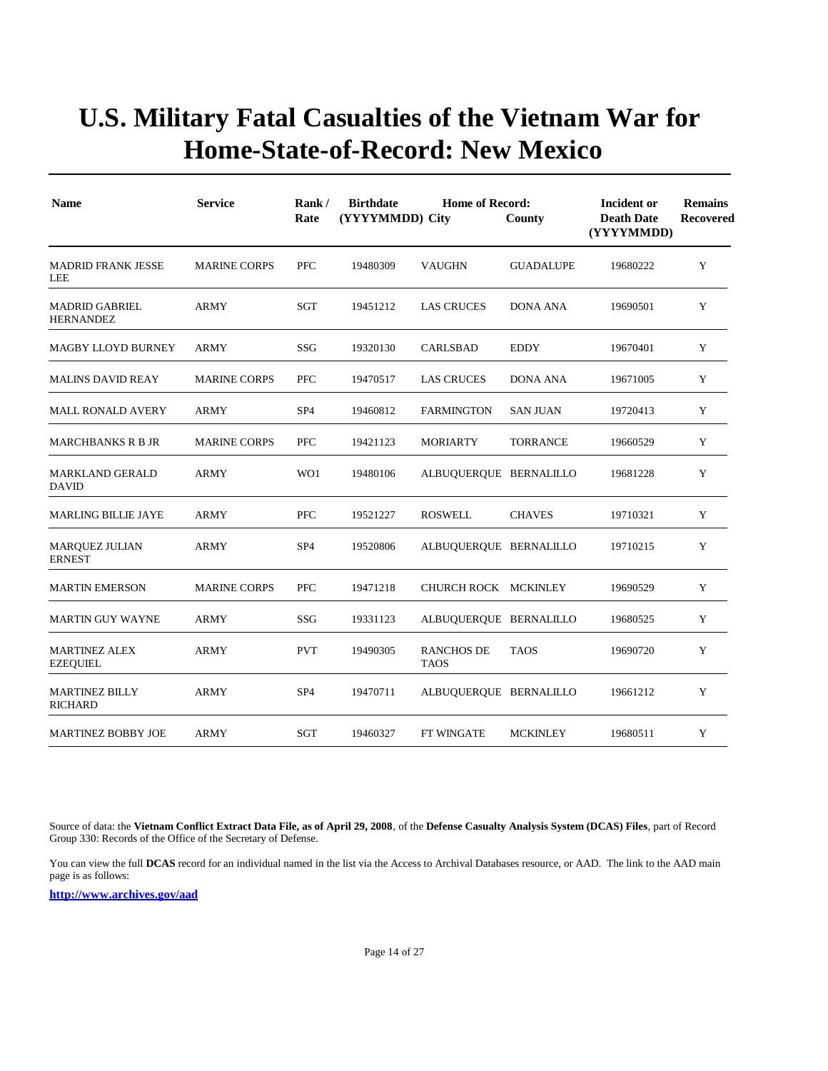| <b>Name</b>                               | <b>Service</b>      | Rank/<br>Rate   | <b>Birthdate</b><br>(YYYYMMDD) City | <b>Home of Record:</b><br>County | Incident or<br><b>Death Date</b><br>(YYYYMMDD) | <b>Remains</b><br>Recovered |   |
|-------------------------------------------|---------------------|-----------------|-------------------------------------|----------------------------------|------------------------------------------------|-----------------------------|---|
| <b>MADRID FRANK JESSE</b><br>LEE          | <b>MARINE CORPS</b> | PFC             | 19480309                            | <b>VAUGHN</b>                    | <b>GUADALUPE</b>                               | 19680222                    | Y |
| <b>MADRID GABRIEL</b><br><b>HERNANDEZ</b> | <b>ARMY</b>         | SGT             | 19451212                            | <b>LAS CRUCES</b>                | <b>DONA ANA</b>                                | 19690501                    | Y |
| <b>MAGBY LLOYD BURNEY</b>                 | <b>ARMY</b>         | SSG             | 19320130                            | CARLSBAD                         | <b>EDDY</b>                                    | 19670401                    | Y |
| <b>MALINS DAVID REAY</b>                  | <b>MARINE CORPS</b> | PFC             | 19470517                            | <b>LAS CRUCES</b>                | <b>DONA ANA</b>                                | 19671005                    | Y |
| <b>MALL RONALD AVERY</b>                  | <b>ARMY</b>         | SP <sub>4</sub> | 19460812                            | <b>FARMINGTON</b>                | <b>SAN JUAN</b>                                | 19720413                    | Y |
| <b>MARCHBANKS R B JR</b>                  | <b>MARINE CORPS</b> | PFC             | 19421123                            | <b>MORIARTY</b>                  | <b>TORRANCE</b>                                | 19660529                    | Y |
| <b>MARKLAND GERALD</b><br><b>DAVID</b>    | ARMY                | WO1             | 19480106                            | ALBUQUERQUE BERNALILLO           |                                                | 19681228                    | Y |
| <b>MARLING BILLIE JAYE</b>                | <b>ARMY</b>         | <b>PFC</b>      | 19521227                            | <b>ROSWELL</b>                   | <b>CHAVES</b>                                  | 19710321                    | Y |
| <b>MARQUEZ JULIAN</b><br><b>ERNEST</b>    | ARMY                | SP <sub>4</sub> | 19520806                            | ALBUQUERQUE BERNALILLO           |                                                | 19710215                    | Y |
| <b>MARTIN EMERSON</b>                     | <b>MARINE CORPS</b> | <b>PFC</b>      | 19471218                            | CHURCH ROCK MCKINLEY             |                                                | 19690529                    | Y |
| <b>MARTIN GUY WAYNE</b>                   | <b>ARMY</b>         | SSG             | 19331123                            | ALBUQUERQUE BERNALILLO           |                                                | 19680525                    | Y |
| <b>MARTINEZ ALEX</b><br><b>EZEQUIEL</b>   | <b>ARMY</b>         | <b>PVT</b>      | 19490305                            | <b>RANCHOS DE</b><br><b>TAOS</b> | <b>TAOS</b>                                    | 19690720                    | Y |
| <b>MARTINEZ BILLY</b><br><b>RICHARD</b>   | <b>ARMY</b>         | SP <sub>4</sub> | 19470711                            | ALBUQUERQUE BERNALILLO           |                                                | 19661212                    | Y |
| <b>MARTINEZ BOBBY JOE</b>                 | <b>ARMY</b>         | SGT             | 19460327                            | FT WINGATE                       | <b>MCKINLEY</b>                                | 19680511                    | Y |

Source of data: the **Vietnam Conflict Extract Data File, as of April 29, 2008**, of the **Defense Casualty Analysis System (DCAS) Files**, part of Record Group 330: Records of the Office of the Secretary of Defense.

You can view the full **DCAS** record for an individual named in the list via the Access to Archival Databases resource, or AAD. The link to the AAD main page is as follows: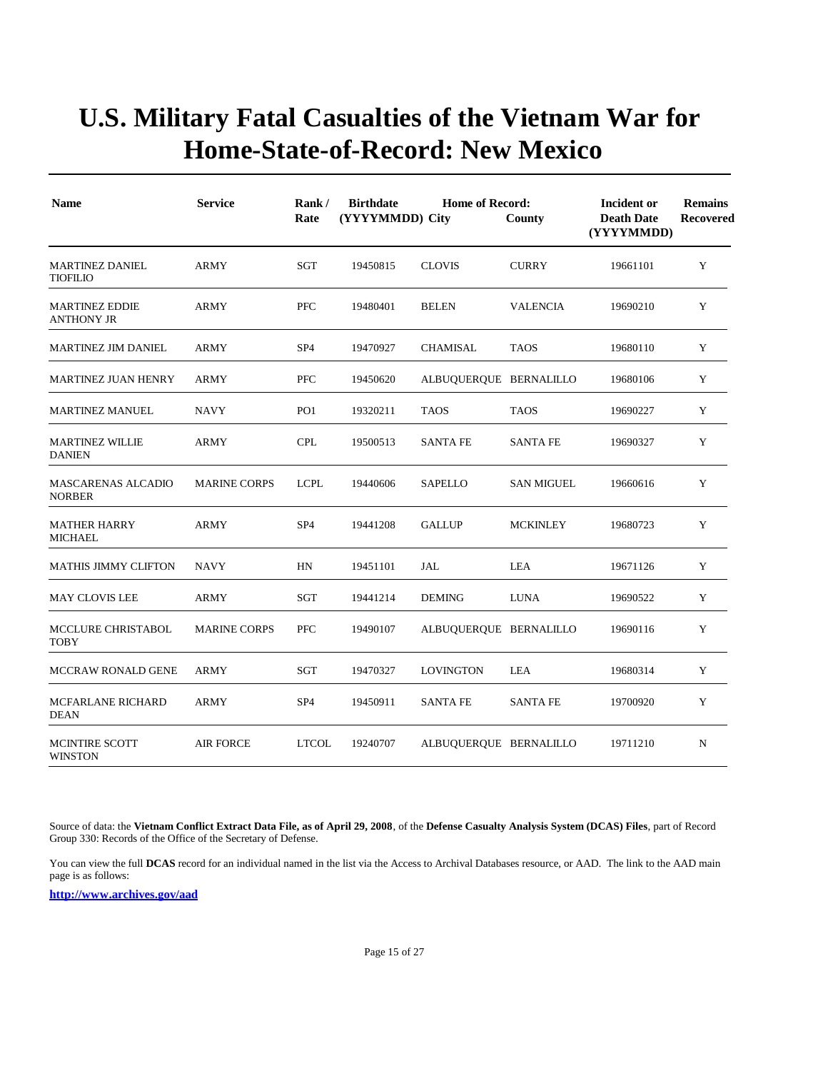| <b>Name</b>                                | <b>Service</b>      | Rank/<br>Rate   | <b>Birthdate</b><br><b>Home of Record:</b><br>(YYYYMMDD) City<br>County |                        |                   | <b>Incident or</b><br><b>Death Date</b><br>(YYYYMMDD) | <b>Remains</b><br><b>Recovered</b> |
|--------------------------------------------|---------------------|-----------------|-------------------------------------------------------------------------|------------------------|-------------------|-------------------------------------------------------|------------------------------------|
| <b>MARTINEZ DANIEL</b><br><b>TIOFILIO</b>  | <b>ARMY</b>         | SGT             | 19450815                                                                | <b>CLOVIS</b>          | <b>CURRY</b>      | 19661101                                              | Y                                  |
| <b>MARTINEZ EDDIE</b><br><b>ANTHONY JR</b> | ARMY                | PFC             | 19480401                                                                | <b>BELEN</b>           | VALENCIA          | 19690210                                              | Y                                  |
| <b>MARTINEZ JIM DANIEL</b>                 | <b>ARMY</b>         | SP <sub>4</sub> | 19470927                                                                | CHAMISAL               | <b>TAOS</b>       | 19680110                                              | Y                                  |
| <b>MARTINEZ JUAN HENRY</b>                 | ARMY                | <b>PFC</b>      | 19450620                                                                | ALBUQUERQUE BERNALILLO |                   | 19680106                                              | Y                                  |
| <b>MARTINEZ MANUEL</b>                     | <b>NAVY</b>         | PO <sub>1</sub> | 19320211                                                                | <b>TAOS</b>            | <b>TAOS</b>       | 19690227                                              | Y                                  |
| <b>MARTINEZ WILLIE</b><br><b>DANIEN</b>    | <b>ARMY</b>         | <b>CPL</b>      | 19500513                                                                | <b>SANTA FE</b>        | <b>SANTA FE</b>   | 19690327                                              | Y                                  |
| <b>MASCARENAS ALCADIO</b><br><b>NORBER</b> | <b>MARINE CORPS</b> | <b>LCPL</b>     | 19440606                                                                | <b>SAPELLO</b>         | <b>SAN MIGUEL</b> | 19660616                                              | Y                                  |
| <b>MATHER HARRY</b><br><b>MICHAEL</b>      | <b>ARMY</b>         | SP <sub>4</sub> | 19441208                                                                | <b>GALLUP</b>          | <b>MCKINLEY</b>   | 19680723                                              | Y                                  |
| <b>MATHIS JIMMY CLIFTON</b>                | <b>NAVY</b>         | HN              | 19451101                                                                | JAL                    | LEA               | 19671126                                              | Y                                  |
| <b>MAY CLOVIS LEE</b>                      | <b>ARMY</b>         | SGT             | 19441214                                                                | <b>DEMING</b>          | <b>LUNA</b>       | 19690522                                              | Y                                  |
| MCCLURE CHRISTABOL<br><b>TOBY</b>          | <b>MARINE CORPS</b> | PFC             | 19490107                                                                | ALBUQUERQUE BERNALILLO |                   | 19690116                                              | Y                                  |
| <b>MCCRAW RONALD GENE</b>                  | <b>ARMY</b>         | <b>SGT</b>      | 19470327                                                                | <b>LOVINGTON</b>       | LEA               | 19680314                                              | Y                                  |
| MCFARLANE RICHARD<br><b>DEAN</b>           | <b>ARMY</b>         | SP <sub>4</sub> | 19450911                                                                | <b>SANTA FE</b>        | <b>SANTA FE</b>   | 19700920                                              | Y                                  |
| <b>MCINTIRE SCOTT</b><br><b>WINSTON</b>    | <b>AIR FORCE</b>    | <b>LTCOL</b>    | 19240707                                                                | ALBUQUERQUE BERNALILLO |                   | 19711210                                              | N                                  |

Source of data: the **Vietnam Conflict Extract Data File, as of April 29, 2008**, of the **Defense Casualty Analysis System (DCAS) Files**, part of Record Group 330: Records of the Office of the Secretary of Defense.

You can view the full **DCAS** record for an individual named in the list via the Access to Archival Databases resource, or AAD. The link to the AAD main page is as follows: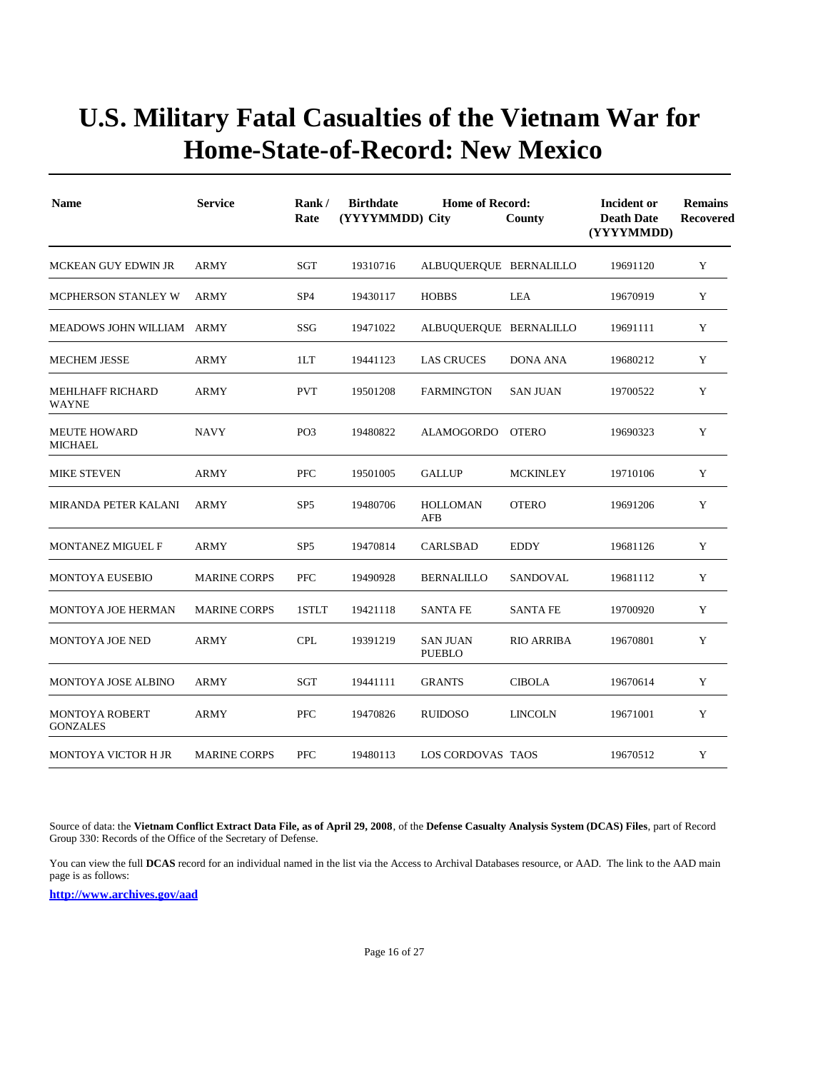| <b>Name</b>                              | <b>Service</b>      | Rank/<br>Rate   | <b>Birthdate</b><br>(YYYYMMDD) City | <b>Home of Record:</b>           | County            | <b>Incident or</b><br><b>Death Date</b><br>(YYYYMMDD) | <b>Remains</b><br><b>Recovered</b> |
|------------------------------------------|---------------------|-----------------|-------------------------------------|----------------------------------|-------------------|-------------------------------------------------------|------------------------------------|
| MCKEAN GUY EDWIN JR                      | <b>ARMY</b>         | <b>SGT</b>      | 19310716                            | ALBUQUERQUE BERNALILLO           |                   | 19691120                                              | Y                                  |
| MCPHERSON STANLEY W                      | <b>ARMY</b>         | SP <sub>4</sub> | 19430117                            | <b>HOBBS</b>                     | LEA               | 19670919                                              | Y                                  |
| MEADOWS JOHN WILLIAM ARMY                |                     | SSG             | 19471022                            | ALBUQUERQUE BERNALILLO           |                   | 19691111                                              | Y                                  |
| <b>MECHEM JESSE</b>                      | ARMY                | 1LT             | 19441123                            | <b>LAS CRUCES</b>                | <b>DONA ANA</b>   | 19680212                                              | Y                                  |
| <b>MEHLHAFF RICHARD</b><br><b>WAYNE</b>  | <b>ARMY</b>         | <b>PVT</b>      | 19501208                            | <b>FARMINGTON</b>                | <b>SAN JUAN</b>   | 19700522                                              | Y                                  |
| <b>MEUTE HOWARD</b><br><b>MICHAEL</b>    | <b>NAVY</b>         | PO <sub>3</sub> | 19480822                            | ALAMOGORDO                       | <b>OTERO</b>      | 19690323                                              | Y                                  |
| <b>MIKE STEVEN</b>                       | <b>ARMY</b>         | PFC             | 19501005                            | <b>GALLUP</b>                    | <b>MCKINLEY</b>   | 19710106                                              | Y                                  |
| <b>MIRANDA PETER KALANI</b>              | <b>ARMY</b>         | SP <sub>5</sub> | 19480706                            | <b>HOLLOMAN</b><br>AFB           | <b>OTERO</b>      | 19691206                                              | Y                                  |
| MONTANEZ MIGUEL F                        | ARMY                | SP <sub>5</sub> | 19470814                            | CARLSBAD                         | <b>EDDY</b>       | 19681126                                              | $\mathbf Y$                        |
| <b>MONTOYA EUSEBIO</b>                   | <b>MARINE CORPS</b> | <b>PFC</b>      | 19490928                            | <b>BERNALILLO</b>                | SANDOVAL          | 19681112                                              | Y                                  |
| <b>MONTOYA JOE HERMAN</b>                | <b>MARINE CORPS</b> | 1STLT           | 19421118                            | <b>SANTA FE</b>                  | <b>SANTA FE</b>   | 19700920                                              | Y                                  |
| <b>MONTOYA JOE NED</b>                   | <b>ARMY</b>         | <b>CPL</b>      | 19391219                            | <b>SAN JUAN</b><br><b>PUEBLO</b> | <b>RIO ARRIBA</b> | 19670801                                              | Y                                  |
| MONTOYA JOSE ALBINO                      | <b>ARMY</b>         | SGT             | 19441111                            | <b>GRANTS</b>                    | <b>CIBOLA</b>     | 19670614                                              | Y                                  |
| <b>MONTOYA ROBERT</b><br><b>GONZALES</b> | <b>ARMY</b>         | PFC             | 19470826                            | <b>RUIDOSO</b>                   | <b>LINCOLN</b>    | 19671001                                              | Y                                  |
| MONTOYA VICTOR H JR                      | <b>MARINE CORPS</b> | <b>PFC</b>      | 19480113                            | <b>LOS CORDOVAS TAOS</b>         |                   | 19670512                                              | Y                                  |

Source of data: the **Vietnam Conflict Extract Data File, as of April 29, 2008**, of the **Defense Casualty Analysis System (DCAS) Files**, part of Record Group 330: Records of the Office of the Secretary of Defense.

You can view the full **DCAS** record for an individual named in the list via the Access to Archival Databases resource, or AAD. The link to the AAD main page is as follows: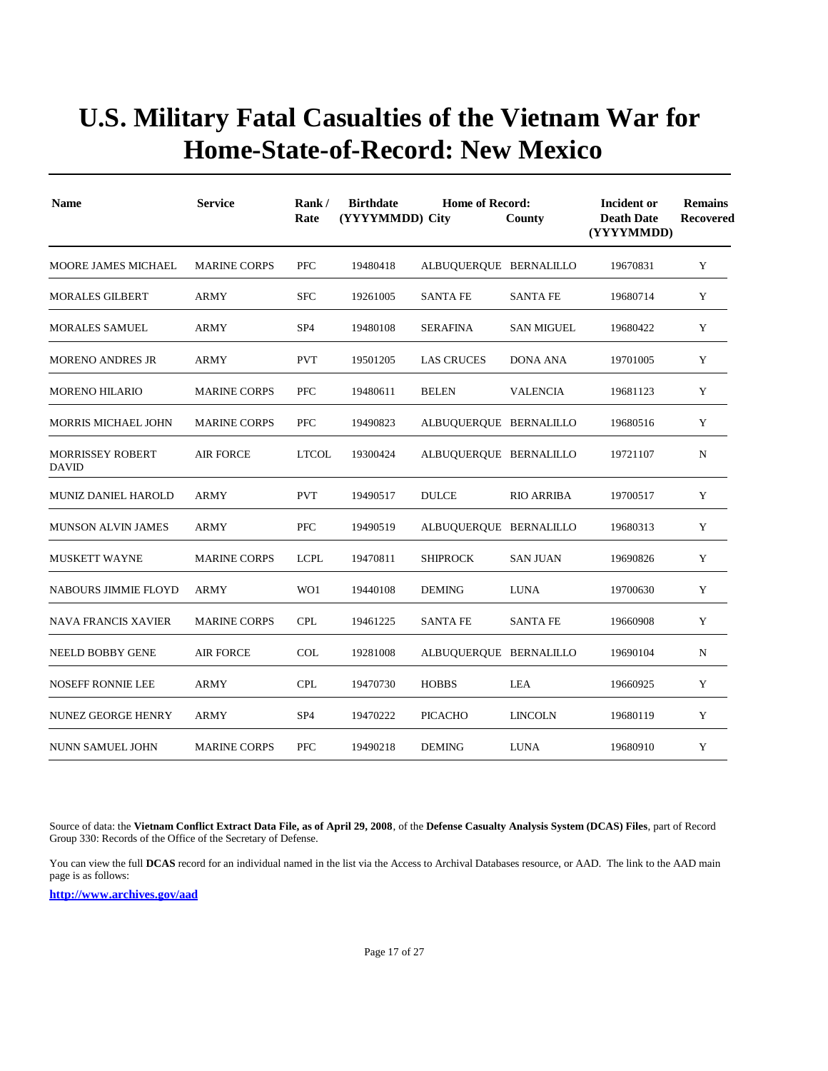| <b>Name</b>                             | <b>Service</b>      | Rank/<br>Rate   | <b>Birthdate</b><br>(YYYYMMDD) City | <b>Home of Record:</b> | County            | Incident or<br><b>Death Date</b><br>(YYYYMMDD) | <b>Remains</b><br>Recovered |
|-----------------------------------------|---------------------|-----------------|-------------------------------------|------------------------|-------------------|------------------------------------------------|-----------------------------|
| MOORE JAMES MICHAEL                     | <b>MARINE CORPS</b> | <b>PFC</b>      | 19480418                            | ALBUQUERQUE BERNALILLO |                   | 19670831                                       | Y                           |
| <b>MORALES GILBERT</b>                  | ARMY                | <b>SFC</b>      | 19261005                            | <b>SANTA FE</b>        | <b>SANTA FE</b>   | 19680714                                       | Y                           |
| <b>MORALES SAMUEL</b>                   | <b>ARMY</b>         | SP <sub>4</sub> | 19480108                            | <b>SERAFINA</b>        | <b>SAN MIGUEL</b> | 19680422                                       | Y                           |
| <b>MORENO ANDRES JR</b>                 | <b>ARMY</b>         | <b>PVT</b>      | 19501205                            | <b>LAS CRUCES</b>      | <b>DONA ANA</b>   | 19701005                                       | Y                           |
| <b>MORENO HILARIO</b>                   | <b>MARINE CORPS</b> | <b>PFC</b>      | 19480611                            | <b>BELEN</b>           | <b>VALENCIA</b>   | 19681123                                       | Y                           |
| <b>MORRIS MICHAEL JOHN</b>              | <b>MARINE CORPS</b> | <b>PFC</b>      | 19490823                            | ALBUOUEROUE BERNALILLO |                   | 19680516                                       | Y                           |
| <b>MORRISSEY ROBERT</b><br><b>DAVID</b> | AIR FORCE           | <b>LTCOL</b>    | 19300424                            | ALBUQUERQUE BERNALILLO |                   | 19721107                                       | N                           |
| <b>MUNIZ DANIEL HAROLD</b>              | <b>ARMY</b>         | <b>PVT</b>      | 19490517                            | <b>DULCE</b>           | <b>RIO ARRIBA</b> | 19700517                                       | Y                           |
| <b>MUNSON ALVIN JAMES</b>               | <b>ARMY</b>         | <b>PFC</b>      | 19490519                            | ALBUQUERQUE BERNALILLO |                   | 19680313                                       | Y                           |
| <b>MUSKETT WAYNE</b>                    | <b>MARINE CORPS</b> | <b>LCPL</b>     | 19470811                            | <b>SHIPROCK</b>        | <b>SAN JUAN</b>   | 19690826                                       | Y                           |
| <b>NABOURS JIMMIE FLOYD</b>             | <b>ARMY</b>         | WO1             | 19440108                            | <b>DEMING</b>          | <b>LUNA</b>       | 19700630                                       | Y                           |
| <b>NAVA FRANCIS XAVIER</b>              | <b>MARINE CORPS</b> | <b>CPL</b>      | 19461225                            | <b>SANTA FE</b>        | <b>SANTA FE</b>   | 19660908                                       | Y                           |
| NEELD BOBBY GENE                        | <b>AIR FORCE</b>    | <b>COL</b>      | 19281008                            | ALBUQUERQUE BERNALILLO |                   | 19690104                                       | N                           |
| <b>NOSEFF RONNIE LEE</b>                | ARMY                | <b>CPL</b>      | 19470730                            | <b>HOBBS</b>           | LEA               | 19660925                                       | Y                           |
| NUNEZ GEORGE HENRY                      | ARMY                | SP <sub>4</sub> | 19470222                            | PICACHO                | <b>LINCOLN</b>    | 19680119                                       | Y                           |
| NUNN SAMUEL JOHN                        | <b>MARINE CORPS</b> | <b>PFC</b>      | 19490218                            | <b>DEMING</b>          | <b>LUNA</b>       | 19680910                                       | Y                           |

Source of data: the **Vietnam Conflict Extract Data File, as of April 29, 2008**, of the **Defense Casualty Analysis System (DCAS) Files**, part of Record Group 330: Records of the Office of the Secretary of Defense.

You can view the full **DCAS** record for an individual named in the list via the Access to Archival Databases resource, or AAD. The link to the AAD main page is as follows: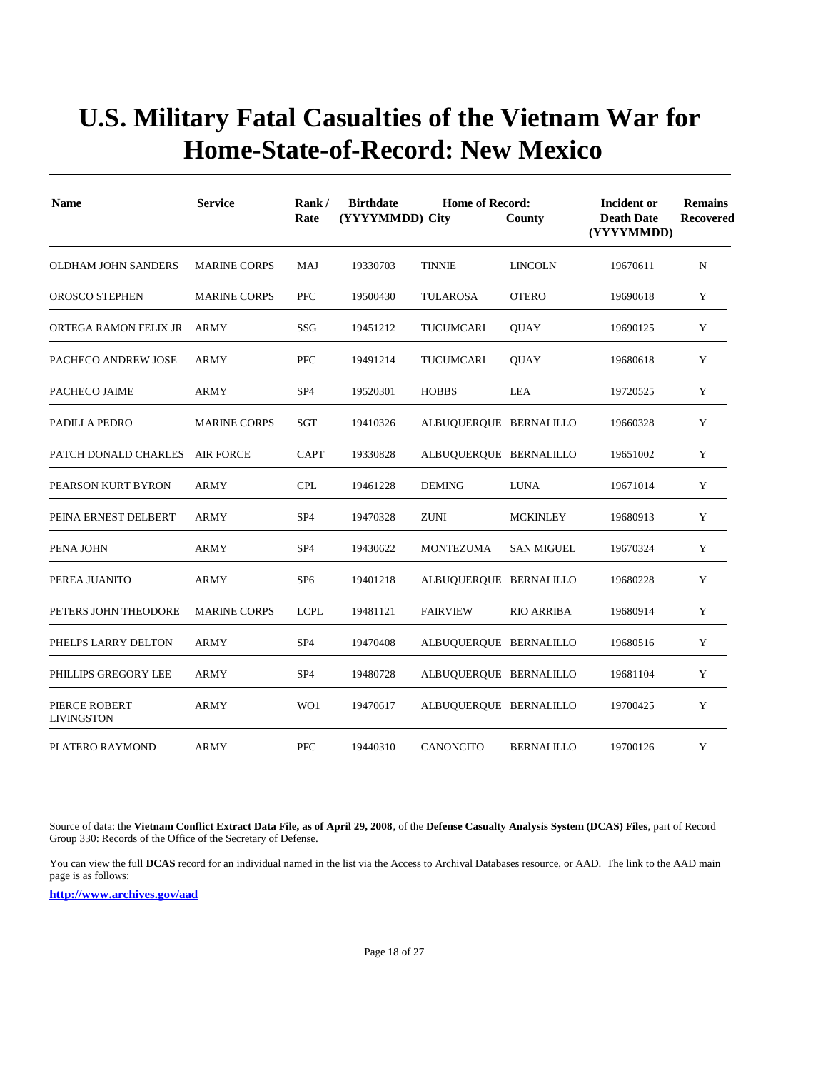| <b>Name</b>                        | <b>Service</b>      | Rank/<br>Rate   | <b>Birthdate</b><br>(YYYYMMDD) City | Incident or<br><b>Death Date</b><br>(YYYYMMDD) | <b>Remains</b><br>Recovered |          |   |
|------------------------------------|---------------------|-----------------|-------------------------------------|------------------------------------------------|-----------------------------|----------|---|
| OLDHAM JOHN SANDERS                | <b>MARINE CORPS</b> | MAJ             | 19330703                            | <b>TINNIE</b>                                  | <b>LINCOLN</b>              | 19670611 | N |
| <b>OROSCO STEPHEN</b>              | <b>MARINE CORPS</b> | <b>PFC</b>      | 19500430                            | <b>TULAROSA</b>                                | <b>OTERO</b>                | 19690618 | Y |
| ORTEGA RAMON FELIX JR              | <b>ARMY</b>         | <b>SSG</b>      | 19451212                            | TUCUMCARI                                      | <b>QUAY</b>                 | 19690125 | Y |
| PACHECO ANDREW JOSE                | <b>ARMY</b>         | <b>PFC</b>      | 19491214                            | TUCUMCARI                                      | <b>QUAY</b>                 | 19680618 | Y |
| PACHECO JAIME                      | ARMY                | SP4             | 19520301                            | <b>HOBBS</b>                                   | LEA                         | 19720525 | Y |
| PADILLA PEDRO                      | <b>MARINE CORPS</b> | <b>SGT</b>      | 19410326                            | ALBUQUERQUE BERNALILLO                         |                             | 19660328 | Y |
| PATCH DONALD CHARLES               | <b>AIR FORCE</b>    | <b>CAPT</b>     | 19330828                            | ALBUQUERQUE BERNALILLO                         |                             | 19651002 | Y |
| PEARSON KURT BYRON                 | <b>ARMY</b>         | <b>CPL</b>      | 19461228                            | <b>DEMING</b>                                  | <b>LUNA</b>                 | 19671014 | Y |
| PEINA ERNEST DELBERT               | <b>ARMY</b>         | SP <sub>4</sub> | 19470328                            | <b>ZUNI</b>                                    | <b>MCKINLEY</b>             | 19680913 | Y |
| PENA JOHN                          | ARMY                | SP <sub>4</sub> | 19430622                            | <b>MONTEZUMA</b>                               | SAN MIGUEL                  | 19670324 | Y |
| PEREA JUANITO                      | ARMY                | SP <sub>6</sub> | 19401218                            | ALBUQUERQUE BERNALILLO                         |                             | 19680228 | Y |
| PETERS JOHN THEODORE               | <b>MARINE CORPS</b> | <b>LCPL</b>     | 19481121                            | <b>FAIRVIEW</b>                                | <b>RIO ARRIBA</b>           | 19680914 | Y |
| PHELPS LARRY DELTON                | ARMY                | SP <sub>4</sub> | 19470408                            | ALBUQUERQUE BERNALILLO                         |                             | 19680516 | Y |
| PHILLIPS GREGORY LEE               | <b>ARMY</b>         | SP <sub>4</sub> | 19480728                            | ALBUQUERQUE BERNALILLO                         |                             | 19681104 | Y |
| PIERCE ROBERT<br><b>LIVINGSTON</b> | ARMY                | WO1             | 19470617                            | ALBUQUERQUE BERNALILLO                         |                             | 19700425 | Y |
| PLATERO RAYMOND                    | ARMY                | PFC             | 19440310                            | <b>CANONCITO</b>                               | BERNALILLO                  | 19700126 | Y |

Source of data: the **Vietnam Conflict Extract Data File, as of April 29, 2008**, of the **Defense Casualty Analysis System (DCAS) Files**, part of Record Group 330: Records of the Office of the Secretary of Defense.

You can view the full **DCAS** record for an individual named in the list via the Access to Archival Databases resource, or AAD. The link to the AAD main page is as follows: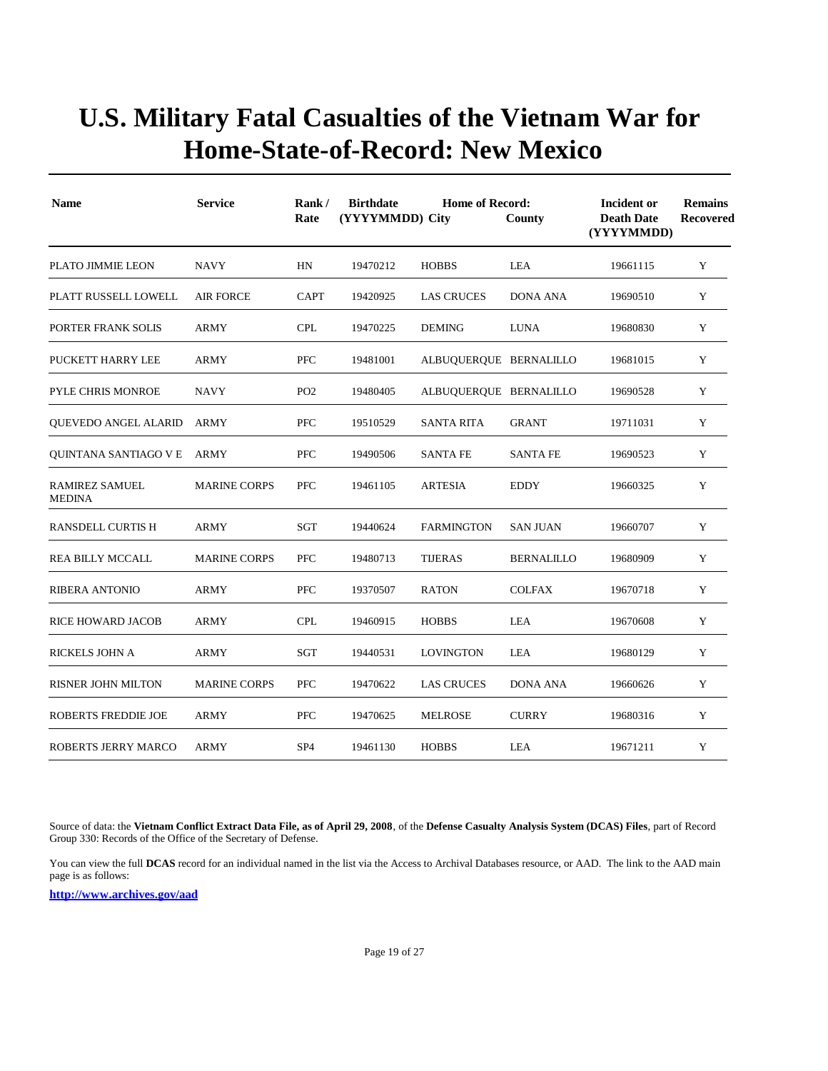| <b>Name</b>                     | <b>Service</b>      | Rank/<br>Rate   | <b>Birthdate</b><br><b>Home of Record:</b><br>(YYYYMMDD) City<br>County |                        |                   | <b>Incident or</b><br><b>Death Date</b><br>(YYYYMMDD) | <b>Remains</b><br><b>Recovered</b> |
|---------------------------------|---------------------|-----------------|-------------------------------------------------------------------------|------------------------|-------------------|-------------------------------------------------------|------------------------------------|
| PLATO JIMMIE LEON               | <b>NAVY</b>         | HN              | 19470212                                                                | <b>HOBBS</b>           | LEA               | 19661115                                              | Y                                  |
| PLATT RUSSELL LOWELL            | <b>AIR FORCE</b>    | <b>CAPT</b>     | 19420925                                                                | <b>LAS CRUCES</b>      | <b>DONA ANA</b>   | 19690510                                              | Y                                  |
| PORTER FRANK SOLIS              | <b>ARMY</b>         | <b>CPL</b>      | 19470225                                                                | <b>DEMING</b>          | <b>LUNA</b>       | 19680830                                              | Y                                  |
| PUCKETT HARRY LEE               | <b>ARMY</b>         | <b>PFC</b>      | 19481001                                                                | ALBUQUERQUE BERNALILLO |                   | 19681015                                              | Y                                  |
| PYLE CHRIS MONROE               | <b>NAVY</b>         | PO <sub>2</sub> | 19480405                                                                | ALBUQUERQUE BERNALILLO |                   | 19690528                                              | Y                                  |
| <b>OUEVEDO ANGEL ALARID</b>     | ARMY                | <b>PFC</b>      | 19510529                                                                | <b>SANTA RITA</b>      | <b>GRANT</b>      | 19711031                                              | Y                                  |
| <b>OUINTANA SANTIAGO V E</b>    | ARMY                | PFC             | 19490506                                                                | <b>SANTA FE</b>        | <b>SANTA FE</b>   | 19690523                                              | Y                                  |
| RAMIREZ SAMUEL<br><b>MEDINA</b> | <b>MARINE CORPS</b> | PFC             | 19461105                                                                | <b>ARTESIA</b>         | <b>EDDY</b>       | 19660325                                              | Y                                  |
| <b>RANSDELL CURTIS H</b>        | <b>ARMY</b>         | SGT             | 19440624                                                                | <b>FARMINGTON</b>      | <b>SAN JUAN</b>   | 19660707                                              | Y                                  |
| <b>REA BILLY MCCALL</b>         | <b>MARINE CORPS</b> | <b>PFC</b>      | 19480713                                                                | <b>TIJERAS</b>         | <b>BERNALILLO</b> | 19680909                                              | Y                                  |
| <b>RIBERA ANTONIO</b>           | <b>ARMY</b>         | <b>PFC</b>      | 19370507                                                                | <b>RATON</b>           | <b>COLFAX</b>     | 19670718                                              | Y                                  |
| <b>RICE HOWARD JACOB</b>        | <b>ARMY</b>         | <b>CPL</b>      | 19460915                                                                | <b>HOBBS</b>           | <b>LEA</b>        | 19670608                                              | Y                                  |
| RICKELS JOHN A                  | ARMY                | SGT             | 19440531                                                                | <b>LOVINGTON</b>       | LEA               | 19680129                                              | Y                                  |
| RISNER JOHN MILTON              | <b>MARINE CORPS</b> | PFC             | 19470622                                                                | LAS CRUCES             | DONA ANA          | 19660626                                              | Y                                  |
| ROBERTS FREDDIE JOE             | ARMY                | PFC             | 19470625                                                                | <b>MELROSE</b>         | <b>CURRY</b>      | 19680316                                              | Y                                  |
| ROBERTS JERRY MARCO             | ARMY                | SP <sub>4</sub> | 19461130                                                                | <b>HOBBS</b>           | LEA               | 19671211                                              | Y                                  |

Source of data: the **Vietnam Conflict Extract Data File, as of April 29, 2008**, of the **Defense Casualty Analysis System (DCAS) Files**, part of Record Group 330: Records of the Office of the Secretary of Defense.

You can view the full **DCAS** record for an individual named in the list via the Access to Archival Databases resource, or AAD. The link to the AAD main page is as follows: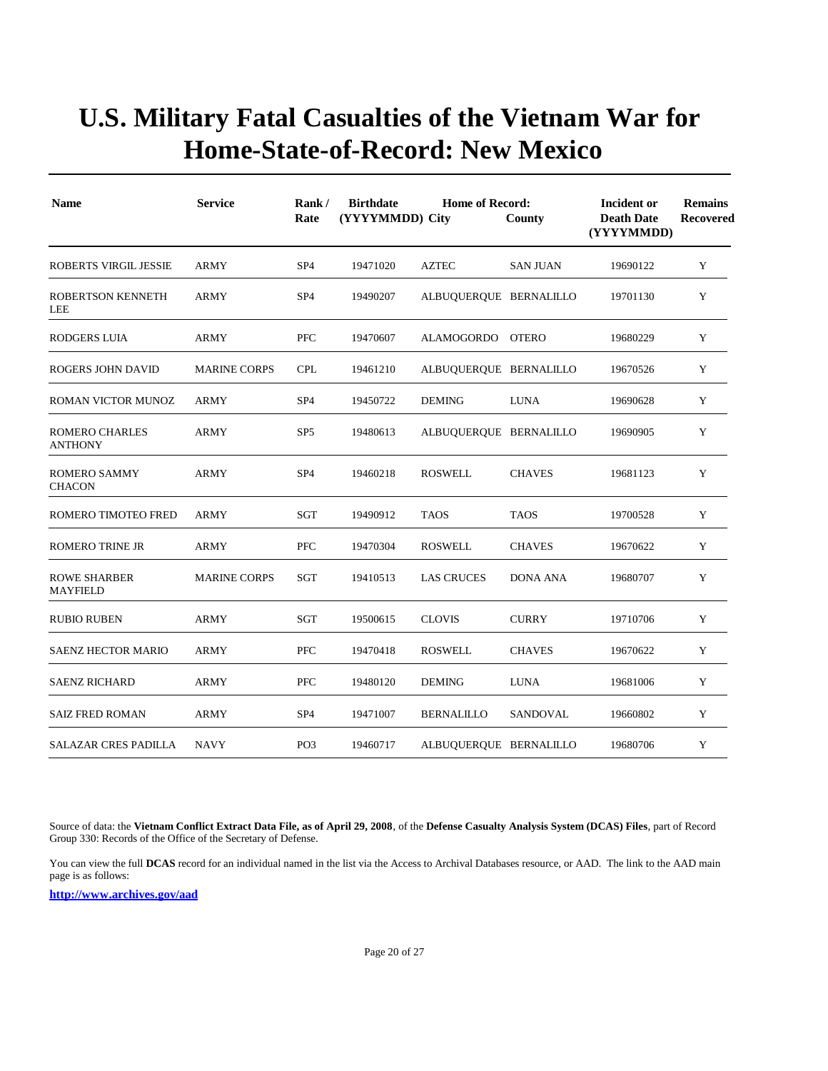| <b>Name</b>                             | <b>Service</b>      | Rank/<br>Rate   | <b>Birthdate</b><br>(YYYYMMDD) City | <b>Home of Record:</b> | County          | Incident or<br><b>Death Date</b><br>(YYYYMMDD) | <b>Remains</b><br><b>Recovered</b> |
|-----------------------------------------|---------------------|-----------------|-------------------------------------|------------------------|-----------------|------------------------------------------------|------------------------------------|
| <b>ROBERTS VIRGIL JESSIE</b>            | <b>ARMY</b>         | SP <sub>4</sub> | 19471020                            | <b>AZTEC</b>           | <b>SAN JUAN</b> | 19690122                                       | Y                                  |
| ROBERTSON KENNETH<br><b>LEE</b>         | ARMY                | SP4             | 19490207                            | ALBUQUERQUE BERNALILLO |                 | 19701130                                       | Y                                  |
| <b>RODGERS LUIA</b>                     | ARMY                | <b>PFC</b>      | 19470607                            | ALAMOGORDO OTERO       |                 | 19680229                                       | Y                                  |
| ROGERS JOHN DAVID                       | <b>MARINE CORPS</b> | <b>CPL</b>      | 19461210                            | ALBUQUERQUE BERNALILLO |                 | 19670526                                       | Y                                  |
| ROMAN VICTOR MUNOZ                      | <b>ARMY</b>         | SP <sub>4</sub> | 19450722                            | <b>DEMING</b>          | <b>LUNA</b>     | 19690628                                       | Y                                  |
| <b>ROMERO CHARLES</b><br><b>ANTHONY</b> | ARMY                | SP <sub>5</sub> | 19480613                            | ALBUQUERQUE BERNALILLO |                 | 19690905                                       | Y                                  |
| <b>ROMERO SAMMY</b><br><b>CHACON</b>    | ARMY                | SP <sub>4</sub> | 19460218                            | <b>ROSWELL</b>         | <b>CHAVES</b>   | 19681123                                       | Y                                  |
| ROMERO TIMOTEO FRED                     | <b>ARMY</b>         | <b>SGT</b>      | 19490912                            | <b>TAOS</b>            | <b>TAOS</b>     | 19700528                                       | Y                                  |
| <b>ROMERO TRINE JR</b>                  | ARMY                | <b>PFC</b>      | 19470304                            | <b>ROSWELL</b>         | <b>CHAVES</b>   | 19670622                                       | Y                                  |
| <b>ROWE SHARBER</b><br><b>MAYFIELD</b>  | <b>MARINE CORPS</b> | SGT             | 19410513                            | <b>LAS CRUCES</b>      | <b>DONA ANA</b> | 19680707                                       | Y                                  |
| <b>RUBIO RUBEN</b>                      | <b>ARMY</b>         | <b>SGT</b>      | 19500615                            | <b>CLOVIS</b>          | <b>CURRY</b>    | 19710706                                       | Y                                  |
| <b>SAENZ HECTOR MARIO</b>               | <b>ARMY</b>         | <b>PFC</b>      | 19470418                            | <b>ROSWELL</b>         | <b>CHAVES</b>   | 19670622                                       | Y                                  |
| <b>SAENZ RICHARD</b>                    | <b>ARMY</b>         | <b>PFC</b>      | 19480120                            | <b>DEMING</b>          | <b>LUNA</b>     | 19681006                                       | Y                                  |
| <b>SAIZ FRED ROMAN</b>                  | ARMY                | SP <sub>4</sub> | 19471007                            | <b>BERNALILLO</b>      | SANDOVAL        | 19660802                                       | Y                                  |
| SALAZAR CRES PADILLA                    | NAVY                | PO <sub>3</sub> | 19460717                            | ALBUQUERQUE BERNALILLO |                 | 19680706                                       | Y                                  |

Source of data: the **Vietnam Conflict Extract Data File, as of April 29, 2008**, of the **Defense Casualty Analysis System (DCAS) Files**, part of Record Group 330: Records of the Office of the Secretary of Defense.

You can view the full **DCAS** record for an individual named in the list via the Access to Archival Databases resource, or AAD. The link to the AAD main page is as follows: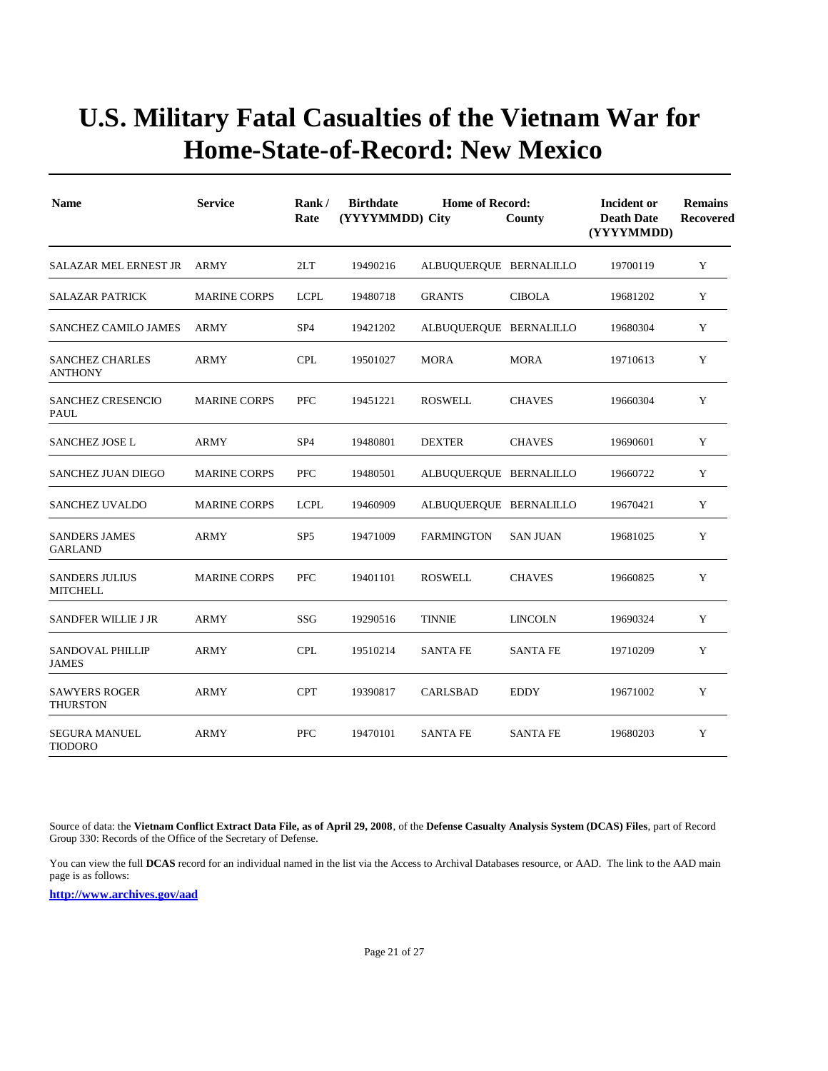| <b>Name</b>                              | <b>Service</b>      | Rank/<br>Rate   | <b>Birthdate</b><br>(YYYYMMDD) City | <b>Home of Record:</b> | County          | Incident or<br><b>Death Date</b><br>(YYYYMMDD) | <b>Remains</b><br><b>Recovered</b> |
|------------------------------------------|---------------------|-----------------|-------------------------------------|------------------------|-----------------|------------------------------------------------|------------------------------------|
| SALAZAR MEL ERNEST JR                    | ARMY                | 2LT             | 19490216                            | ALBUQUERQUE BERNALILLO |                 | 19700119                                       | Y                                  |
| <b>SALAZAR PATRICK</b>                   | <b>MARINE CORPS</b> | <b>LCPL</b>     | 19480718                            | <b>GRANTS</b>          | <b>CIBOLA</b>   | 19681202                                       | Y                                  |
| <b>SANCHEZ CAMILO JAMES</b>              | <b>ARMY</b>         | SP <sub>4</sub> | 19421202                            | ALBUQUERQUE BERNALILLO |                 | 19680304                                       | Y                                  |
| <b>SANCHEZ CHARLES</b><br>ANTHONY        | <b>ARMY</b>         | <b>CPL</b>      | 19501027                            | <b>MORA</b>            | <b>MORA</b>     | 19710613                                       | Y                                  |
| <b>SANCHEZ CRESENCIO</b><br>PAUL         | <b>MARINE CORPS</b> | <b>PFC</b>      | 19451221                            | <b>ROSWELL</b>         | <b>CHAVES</b>   | 19660304                                       | Y                                  |
| SANCHEZ JOSE L                           | <b>ARMY</b>         | SP <sub>4</sub> | 19480801                            | <b>DEXTER</b>          | <b>CHAVES</b>   | 19690601                                       | Y                                  |
| <b>SANCHEZ JUAN DIEGO</b>                | <b>MARINE CORPS</b> | <b>PFC</b>      | 19480501                            | ALBUQUERQUE BERNALILLO |                 | 19660722                                       | Y                                  |
| <b>SANCHEZ UVALDO</b>                    | <b>MARINE CORPS</b> | <b>LCPL</b>     | 19460909                            | ALBUQUERQUE BERNALILLO |                 | 19670421                                       | Y                                  |
| <b>SANDERS JAMES</b><br><b>GARLAND</b>   | <b>ARMY</b>         | SP <sub>5</sub> | 19471009                            | <b>FARMINGTON</b>      | <b>SAN JUAN</b> | 19681025                                       | Y                                  |
| <b>SANDERS JULIUS</b><br><b>MITCHELL</b> | <b>MARINE CORPS</b> | PFC             | 19401101                            | <b>ROSWELL</b>         | <b>CHAVES</b>   | 19660825                                       | Y                                  |
| <b>SANDFER WILLIE J JR</b>               | <b>ARMY</b>         | SSG             | 19290516                            | <b>TINNIE</b>          | <b>LINCOLN</b>  | 19690324                                       | Y                                  |
| <b>SANDOVAL PHILLIP</b><br><b>JAMES</b>  | <b>ARMY</b>         | <b>CPL</b>      | 19510214                            | <b>SANTA FE</b>        | <b>SANTA FE</b> | 19710209                                       | Y                                  |
| <b>SAWYERS ROGER</b><br><b>THURSTON</b>  | <b>ARMY</b>         | <b>CPT</b>      | 19390817                            | <b>CARLSBAD</b>        | <b>EDDY</b>     | 19671002                                       | Y                                  |
| <b>SEGURA MANUEL</b><br><b>TIODORO</b>   | <b>ARMY</b>         | PFC             | 19470101                            | <b>SANTA FE</b>        | <b>SANTA FE</b> | 19680203                                       | Y                                  |

Source of data: the **Vietnam Conflict Extract Data File, as of April 29, 2008**, of the **Defense Casualty Analysis System (DCAS) Files**, part of Record Group 330: Records of the Office of the Secretary of Defense.

You can view the full **DCAS** record for an individual named in the list via the Access to Archival Databases resource, or AAD. The link to the AAD main page is as follows: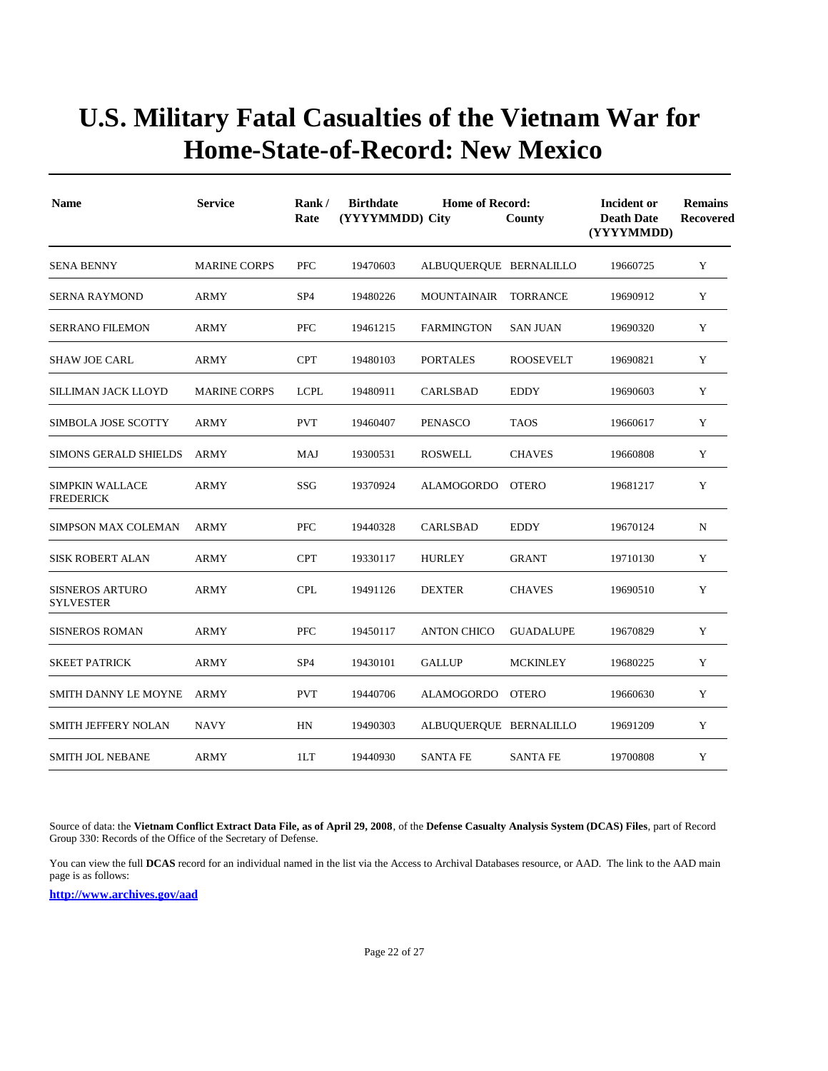| <b>Name</b>                                | <b>Service</b>      | Rank/<br>Rate   | <b>Birthdate</b><br>(YYYYMMDD) City | <b>Home of Record:</b> | County           | <b>Incident or</b><br><b>Death Date</b><br>(YYYYMMDD) | <b>Remains</b><br><b>Recovered</b> |
|--------------------------------------------|---------------------|-----------------|-------------------------------------|------------------------|------------------|-------------------------------------------------------|------------------------------------|
| <b>SENA BENNY</b>                          | <b>MARINE CORPS</b> | <b>PFC</b>      | 19470603                            | ALBUQUERQUE BERNALILLO |                  | 19660725                                              | Y                                  |
| <b>SERNA RAYMOND</b>                       | <b>ARMY</b>         | SP <sub>4</sub> | 19480226                            | <b>MOUNTAINAIR</b>     | <b>TORRANCE</b>  | 19690912                                              | Y                                  |
| <b>SERRANO FILEMON</b>                     | <b>ARMY</b>         | PFC             | 19461215                            | <b>FARMINGTON</b>      | <b>SAN JUAN</b>  | 19690320                                              | Y                                  |
| <b>SHAW JOE CARL</b>                       | ARMY                | <b>CPT</b>      | 19480103                            | <b>PORTALES</b>        | <b>ROOSEVELT</b> | 19690821                                              | Y                                  |
| SILLIMAN JACK LLOYD                        | <b>MARINE CORPS</b> | <b>LCPL</b>     | 19480911                            | <b>CARLSBAD</b>        | <b>EDDY</b>      | 19690603                                              | Y                                  |
| <b>SIMBOLA JOSE SCOTTY</b>                 | ARMY                | <b>PVT</b>      | 19460407                            | <b>PENASCO</b>         | <b>TAOS</b>      | 19660617                                              | Y                                  |
| <b>SIMONS GERALD SHIELDS</b>               | ARMY                | MAJ             | 19300531                            | <b>ROSWELL</b>         | <b>CHAVES</b>    | 19660808                                              | Y                                  |
| <b>SIMPKIN WALLACE</b><br><b>FREDERICK</b> | ARMY                | SSG             | 19370924                            | ALAMOGORDO             | <b>OTERO</b>     | 19681217                                              | Y                                  |
| <b>SIMPSON MAX COLEMAN</b>                 | <b>ARMY</b>         | <b>PFC</b>      | 19440328                            | <b>CARLSBAD</b>        | <b>EDDY</b>      | 19670124                                              | N                                  |
| <b>SISK ROBERT ALAN</b>                    | <b>ARMY</b>         | <b>CPT</b>      | 19330117                            | <b>HURLEY</b>          | <b>GRANT</b>     | 19710130                                              | Y                                  |
| <b>SISNEROS ARTURO</b><br><b>SYLVESTER</b> | ARMY                | <b>CPL</b>      | 19491126                            | <b>DEXTER</b>          | <b>CHAVES</b>    | 19690510                                              | Y                                  |
| <b>SISNEROS ROMAN</b>                      | <b>ARMY</b>         | PFC             | 19450117                            | <b>ANTON CHICO</b>     | <b>GUADALUPE</b> | 19670829                                              | Y                                  |
| <b>SKEET PATRICK</b>                       | ARMY                | SP <sub>4</sub> | 19430101                            | <b>GALLUP</b>          | <b>MCKINLEY</b>  | 19680225                                              | Y                                  |
| SMITH DANNY LE MOYNE                       | ARMY                | <b>PVT</b>      | 19440706                            | ALAMOGORDO             | <b>OTERO</b>     | 19660630                                              | Y                                  |
| SMITH JEFFERY NOLAN                        | NAVY                | HN              | 19490303                            | ALBUQUERQUE BERNALILLO |                  | 19691209                                              | Y                                  |
| <b>SMITH JOL NEBANE</b>                    | <b>ARMY</b>         | 1LT             | 19440930                            | <b>SANTA FE</b>        | <b>SANTA FE</b>  | 19700808                                              | Y                                  |

Source of data: the **Vietnam Conflict Extract Data File, as of April 29, 2008**, of the **Defense Casualty Analysis System (DCAS) Files**, part of Record Group 330: Records of the Office of the Secretary of Defense.

You can view the full **DCAS** record for an individual named in the list via the Access to Archival Databases resource, or AAD. The link to the AAD main page is as follows: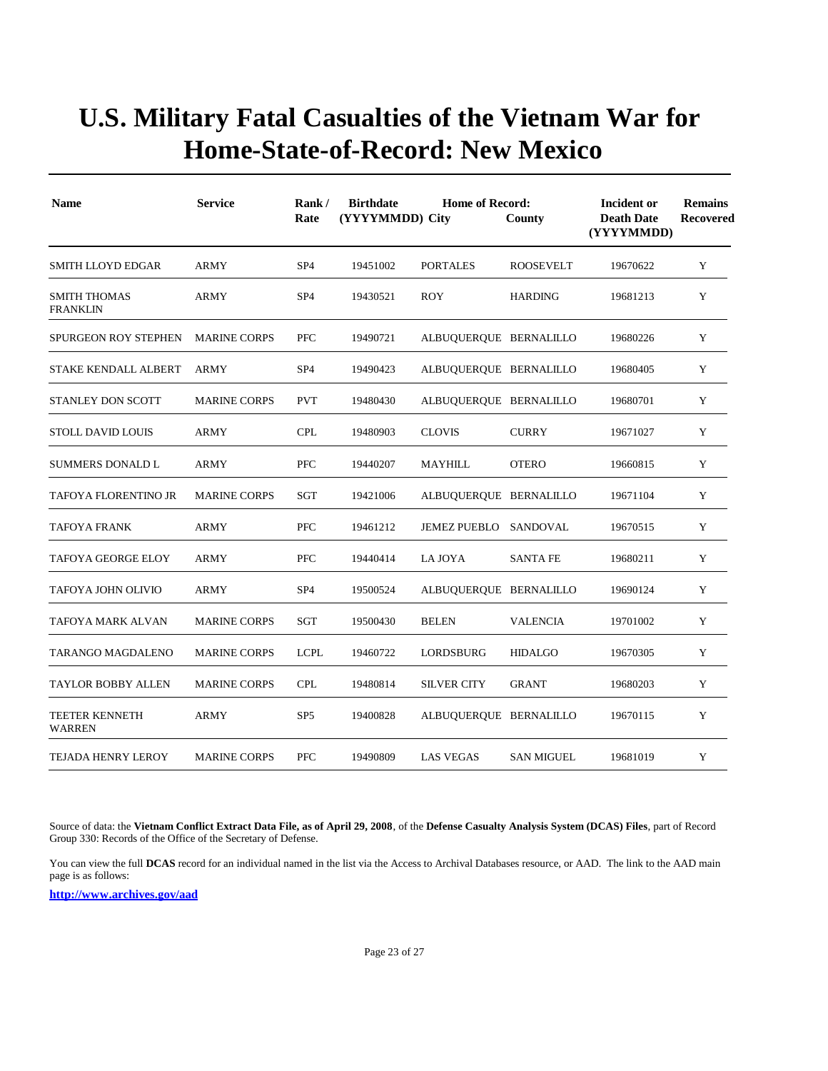| <b>Name</b>                            | <b>Service</b>      | Rank/<br>Rate   | <b>Birthdate</b><br>(YYYYMMDD) City | <b>Home of Record:</b> | County            | Incident or<br><b>Death Date</b><br>(YYYYMMDD) | <b>Remains</b><br><b>Recovered</b> |
|----------------------------------------|---------------------|-----------------|-------------------------------------|------------------------|-------------------|------------------------------------------------|------------------------------------|
| SMITH LLOYD EDGAR                      | <b>ARMY</b>         | SP <sub>4</sub> | 19451002                            | <b>PORTALES</b>        | <b>ROOSEVELT</b>  | 19670622                                       | Y                                  |
| <b>SMITH THOMAS</b><br><b>FRANKLIN</b> | <b>ARMY</b>         | SP <sub>4</sub> | 19430521                            | <b>ROY</b>             | <b>HARDING</b>    | 19681213                                       | Y                                  |
| <b>SPURGEON ROY STEPHEN</b>            | <b>MARINE CORPS</b> | <b>PFC</b>      | 19490721                            | ALBUQUERQUE BERNALILLO |                   | 19680226                                       | Y                                  |
| <b>STAKE KENDALL ALBERT</b>            | ARMY                | SP <sub>4</sub> | 19490423                            | ALBUQUERQUE BERNALILLO |                   | 19680405                                       | Y                                  |
| <b>STANLEY DON SCOTT</b>               | <b>MARINE CORPS</b> | <b>PVT</b>      | 19480430                            | ALBUQUERQUE BERNALILLO |                   | 19680701                                       | Y                                  |
| <b>STOLL DAVID LOUIS</b>               | <b>ARMY</b>         | <b>CPL</b>      | 19480903                            | <b>CLOVIS</b>          | <b>CURRY</b>      | 19671027                                       | Y                                  |
| <b>SUMMERS DONALD L</b>                | <b>ARMY</b>         | <b>PFC</b>      | 19440207                            | <b>MAYHILL</b>         | <b>OTERO</b>      | 19660815                                       | Y                                  |
| TAFOYA FLORENTINO JR                   | <b>MARINE CORPS</b> | SGT             | 19421006                            | ALBUQUERQUE BERNALILLO |                   | 19671104                                       | Y                                  |
| <b>TAFOYA FRANK</b>                    | ARMY                | <b>PFC</b>      | 19461212                            | JEMEZ PUEBLO SANDOVAL  |                   | 19670515                                       | Y                                  |
| TAFOYA GEORGE ELOY                     | ARMY                | <b>PFC</b>      | 19440414                            | LA JOYA                | <b>SANTA FE</b>   | 19680211                                       | Y                                  |
| TAFOYA JOHN OLIVIO                     | <b>ARMY</b>         | SP <sub>4</sub> | 19500524                            | ALBUQUERQUE BERNALILLO |                   | 19690124                                       | Y                                  |
| TAFOYA MARK ALVAN                      | <b>MARINE CORPS</b> | SGT             | 19500430                            | <b>BELEN</b>           | <b>VALENCIA</b>   | 19701002                                       | Y                                  |
| TARANGO MAGDALENO                      | <b>MARINE CORPS</b> | <b>LCPL</b>     | 19460722                            | LORDSBURG              | <b>HIDALGO</b>    | 19670305                                       | Y                                  |
| TAYLOR BOBBY ALLEN                     | <b>MARINE CORPS</b> | <b>CPL</b>      | 19480814                            | <b>SILVER CITY</b>     | <b>GRANT</b>      | 19680203                                       | Y                                  |
| <b>TEETER KENNETH</b><br>WARREN        | <b>ARMY</b>         | SP <sub>5</sub> | 19400828                            | ALBUQUERQUE BERNALILLO |                   | 19670115                                       | Y                                  |
| TEJADA HENRY LEROY                     | <b>MARINE CORPS</b> | <b>PFC</b>      | 19490809                            | <b>LAS VEGAS</b>       | <b>SAN MIGUEL</b> | 19681019                                       | Y                                  |

Source of data: the **Vietnam Conflict Extract Data File, as of April 29, 2008**, of the **Defense Casualty Analysis System (DCAS) Files**, part of Record Group 330: Records of the Office of the Secretary of Defense.

You can view the full **DCAS** record for an individual named in the list via the Access to Archival Databases resource, or AAD. The link to the AAD main page is as follows: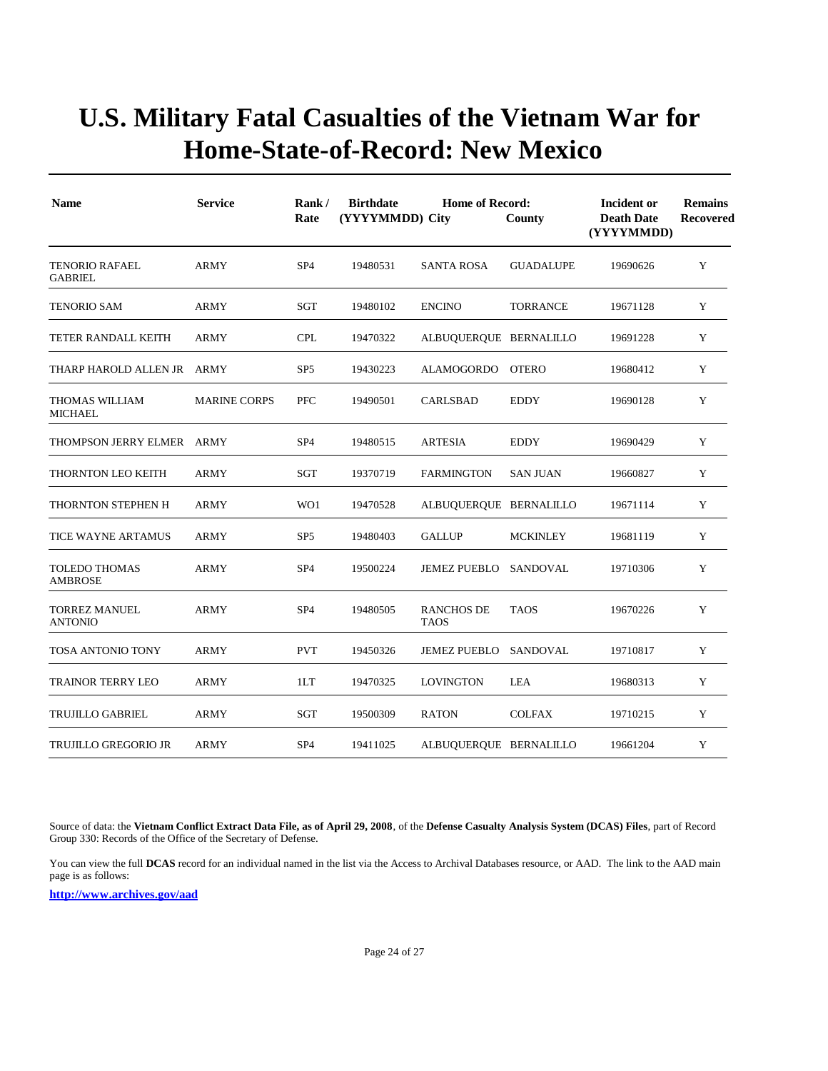| <b>Name</b>                             | <b>Service</b>      | Rank/<br>Rate   | <b>Birthdate</b><br>(YYYYMMDD) City | <b>Home of Record:</b>           | County           | Incident or<br><b>Death Date</b><br>(YYYYMMDD) | <b>Remains</b><br>Recovered |
|-----------------------------------------|---------------------|-----------------|-------------------------------------|----------------------------------|------------------|------------------------------------------------|-----------------------------|
| <b>TENORIO RAFAEL</b><br><b>GABRIEL</b> | <b>ARMY</b>         | SP <sub>4</sub> | 19480531                            | <b>SANTA ROSA</b>                | <b>GUADALUPE</b> | 19690626                                       | Y                           |
| TENORIO SAM                             | ARMY                | SGT             | 19480102                            | <b>ENCINO</b>                    | <b>TORRANCE</b>  | 19671128                                       | Y                           |
| TETER RANDALL KEITH                     | <b>ARMY</b>         | <b>CPL</b>      | 19470322                            | ALBUQUERQUE BERNALILLO           |                  | 19691228                                       | Y                           |
| THARP HAROLD ALLEN JR ARMY              |                     | SP <sub>5</sub> | 19430223                            | ALAMOGORDO OTERO                 |                  | 19680412                                       | Y                           |
| <b>THOMAS WILLIAM</b><br><b>MICHAEL</b> | <b>MARINE CORPS</b> | <b>PFC</b>      | 19490501                            | <b>CARLSBAD</b>                  | <b>EDDY</b>      | 19690128                                       | Y                           |
| THOMPSON JERRY ELMER ARMY               |                     | SP <sub>4</sub> | 19480515                            | <b>ARTESIA</b>                   | <b>EDDY</b>      | 19690429                                       | Y                           |
| THORNTON LEO KEITH                      | <b>ARMY</b>         | SGT             | 19370719                            | <b>FARMINGTON</b>                | <b>SAN JUAN</b>  | 19660827                                       | Y                           |
| THORNTON STEPHEN H                      | <b>ARMY</b>         | WO1             | 19470528                            | ALBUQUERQUE BERNALILLO           |                  | 19671114                                       | Y                           |
| TICE WAYNE ARTAMUS                      | <b>ARMY</b>         | SP <sub>5</sub> | 19480403                            | <b>GALLUP</b>                    | <b>MCKINLEY</b>  | 19681119                                       | Y                           |
| <b>TOLEDO THOMAS</b><br><b>AMBROSE</b>  | <b>ARMY</b>         | SP <sub>4</sub> | 19500224                            | <b>JEMEZ PUEBLO</b>              | SANDOVAL         | 19710306                                       | Y                           |
| <b>TORREZ MANUEL</b><br><b>ANTONIO</b>  | <b>ARMY</b>         | SP <sub>4</sub> | 19480505                            | <b>RANCHOS DE</b><br><b>TAOS</b> | <b>TAOS</b>      | 19670226                                       | Y                           |
| TOSA ANTONIO TONY                       | <b>ARMY</b>         | <b>PVT</b>      | 19450326                            | <b>JEMEZ PUEBLO</b>              | SANDOVAL         | 19710817                                       | Y                           |
| <b>TRAINOR TERRY LEO</b>                | <b>ARMY</b>         | 1LT             | 19470325                            | <b>LOVINGTON</b>                 | <b>LEA</b>       | 19680313                                       | Y                           |
| TRUJILLO GABRIEL                        | <b>ARMY</b>         | SGT             | 19500309                            | <b>RATON</b>                     | <b>COLFAX</b>    | 19710215                                       | Y                           |
| <b>TRUJILLO GREGORIO JR</b>             | ARMY                | SP <sub>4</sub> | 19411025                            | ALBUQUERQUE BERNALILLO           |                  | 19661204                                       | Y                           |

Source of data: the **Vietnam Conflict Extract Data File, as of April 29, 2008**, of the **Defense Casualty Analysis System (DCAS) Files**, part of Record Group 330: Records of the Office of the Secretary of Defense.

You can view the full **DCAS** record for an individual named in the list via the Access to Archival Databases resource, or AAD. The link to the AAD main page is as follows: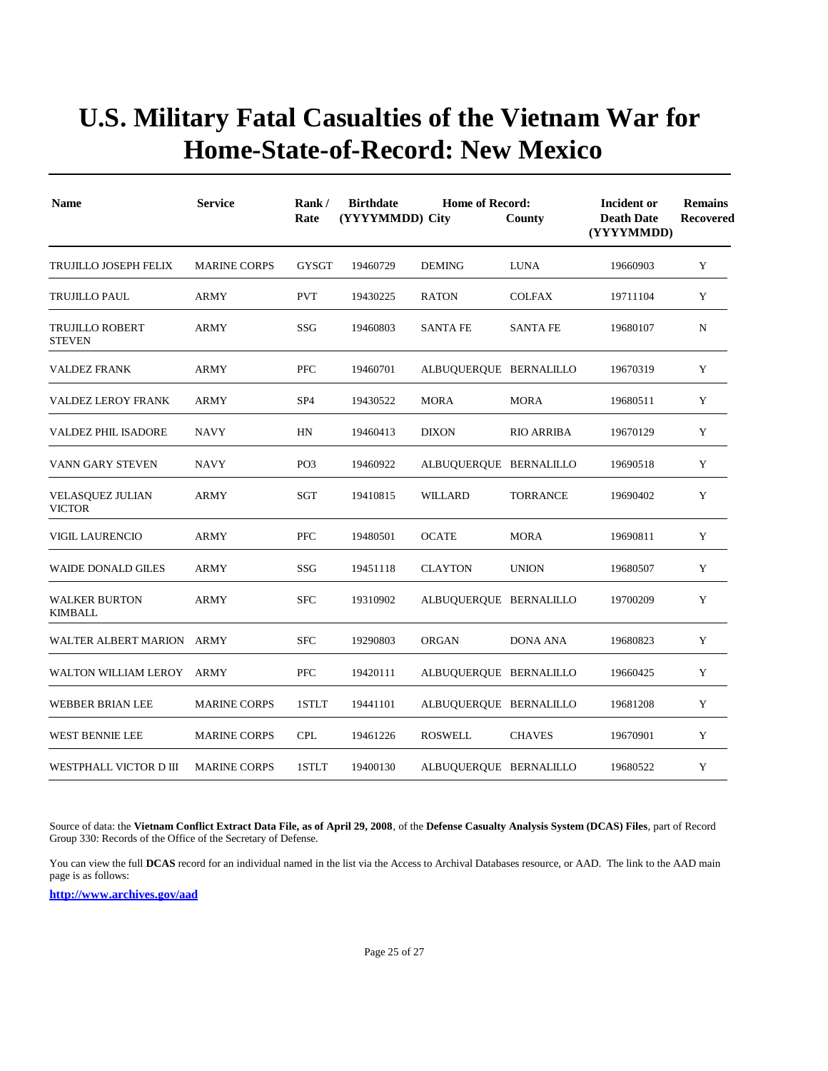| <b>Name</b>                              | <b>Service</b>      | Rank/<br>Rate   | <b>Birthdate</b><br>(YYYYMMDD) City | <b>Home of Record:</b> | County            | Incident or<br><b>Death Date</b><br>(YYYYMMDD) | <b>Remains</b><br><b>Recovered</b> |
|------------------------------------------|---------------------|-----------------|-------------------------------------|------------------------|-------------------|------------------------------------------------|------------------------------------|
| TRUJILLO JOSEPH FELIX                    | <b>MARINE CORPS</b> | <b>GYSGT</b>    | 19460729                            | <b>DEMING</b>          | <b>LUNA</b>       | 19660903                                       | Y                                  |
| TRUJILLO PAUL                            | <b>ARMY</b>         | <b>PVT</b>      | 19430225                            | <b>RATON</b>           | <b>COLFAX</b>     | 19711104                                       | Y                                  |
| TRUJILLO ROBERT<br><b>STEVEN</b>         | <b>ARMY</b>         | SSG             | 19460803                            | <b>SANTA FE</b>        | <b>SANTA FE</b>   | 19680107                                       | N                                  |
| <b>VALDEZ FRANK</b>                      | <b>ARMY</b>         | <b>PFC</b>      | 19460701                            | ALBUQUERQUE BERNALILLO |                   | 19670319                                       | Y                                  |
| <b>VALDEZ LEROY FRANK</b>                | <b>ARMY</b>         | SP <sub>4</sub> | 19430522                            | <b>MORA</b>            | <b>MORA</b>       | 19680511                                       | Y                                  |
| VALDEZ PHIL ISADORE                      | <b>NAVY</b>         | HN              | 19460413                            | <b>DIXON</b>           | <b>RIO ARRIBA</b> | 19670129                                       | Y                                  |
| VANN GARY STEVEN                         | <b>NAVY</b>         | PO <sub>3</sub> | 19460922                            | ALBUQUERQUE BERNALILLO |                   | 19690518                                       | Y                                  |
| <b>VELASQUEZ JULIAN</b><br><b>VICTOR</b> | ARMY                | SGT             | 19410815                            | WILLARD                | TORRANCE          | 19690402                                       | Y                                  |
| <b>VIGIL LAURENCIO</b>                   | <b>ARMY</b>         | PFC             | 19480501                            | <b>OCATE</b>           | <b>MORA</b>       | 19690811                                       | Y                                  |
| <b>WAIDE DONALD GILES</b>                | <b>ARMY</b>         | SSG             | 19451118                            | <b>CLAYTON</b>         | <b>UNION</b>      | 19680507                                       | Y                                  |
| <b>WALKER BURTON</b><br>KIMBALL          | <b>ARMY</b>         | <b>SFC</b>      | 19310902                            | ALBUQUERQUE BERNALILLO |                   | 19700209                                       | Y                                  |
| WALTER ALBERT MARION ARMY                |                     | <b>SFC</b>      | 19290803                            | <b>ORGAN</b>           | <b>DONA ANA</b>   | 19680823                                       | Y                                  |
| WALTON WILLIAM LEROY ARMY                |                     | PFC             | 19420111                            | ALBUQUERQUE BERNALILLO |                   | 19660425                                       | Y                                  |
| WEBBER BRIAN LEE                         | <b>MARINE CORPS</b> | 1STLT           | 19441101                            | ALBUQUERQUE BERNALILLO |                   | 19681208                                       | Y                                  |
| <b>WEST BENNIE LEE</b>                   | <b>MARINE CORPS</b> | <b>CPL</b>      | 19461226                            | <b>ROSWELL</b>         | <b>CHAVES</b>     | 19670901                                       | Y                                  |
| WESTPHALL VICTOR D III                   | <b>MARINE CORPS</b> | 1STLT           | 19400130                            | ALBUQUERQUE BERNALILLO |                   | 19680522                                       | Y                                  |

Source of data: the **Vietnam Conflict Extract Data File, as of April 29, 2008**, of the **Defense Casualty Analysis System (DCAS) Files**, part of Record Group 330: Records of the Office of the Secretary of Defense.

You can view the full **DCAS** record for an individual named in the list via the Access to Archival Databases resource, or AAD. The link to the AAD main page is as follows: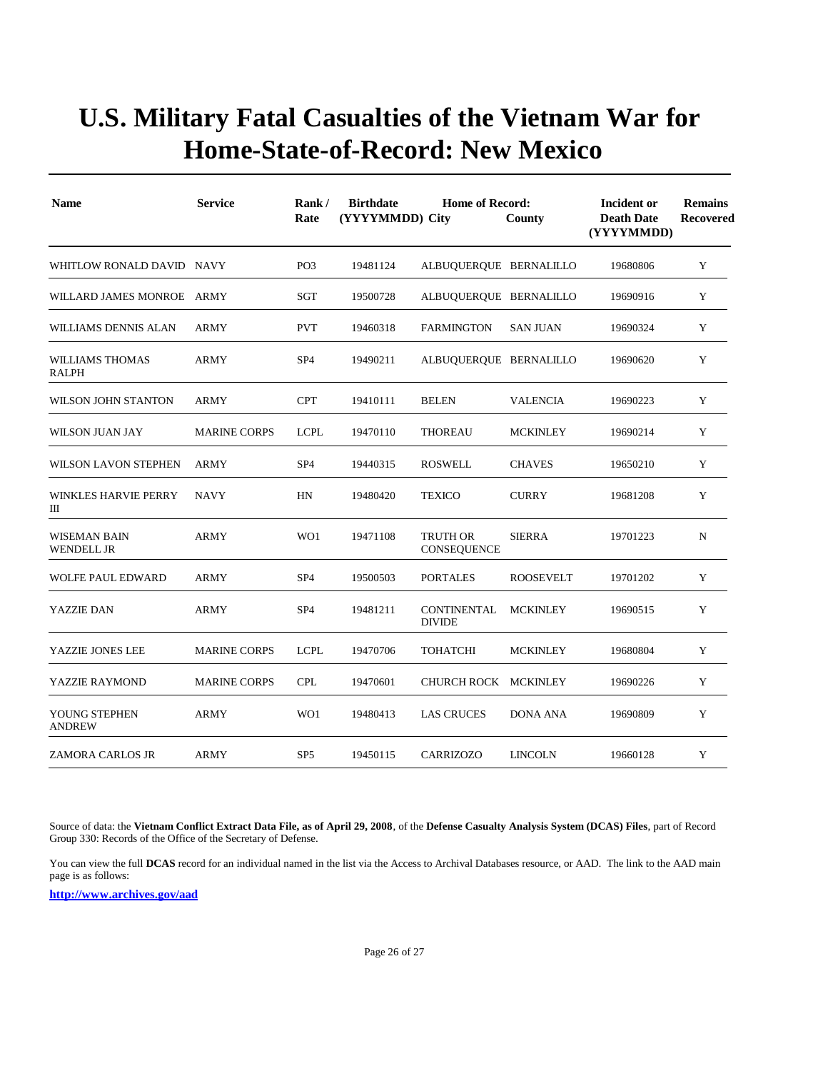| <b>Name</b>                       | <b>Service</b>      | Rank/<br>Rate   | <b>Birthdate</b><br>(YYYYMMDD) City | <b>Home of Record:</b>              | County           | Incident or<br><b>Death Date</b><br>(YYYYMMDD) | <b>Remains</b><br>Recovered |
|-----------------------------------|---------------------|-----------------|-------------------------------------|-------------------------------------|------------------|------------------------------------------------|-----------------------------|
| WHITLOW RONALD DAVID NAVY         |                     | PO <sub>3</sub> | 19481124                            | ALBUQUERQUE BERNALILLO              |                  | 19680806                                       | Y                           |
| WILLARD JAMES MONROE ARMY         |                     | SGT             | 19500728                            | ALBUQUERQUE BERNALILLO              |                  | 19690916                                       | Y                           |
| WILLIAMS DENNIS ALAN              | ARMY                | <b>PVT</b>      | 19460318                            | <b>FARMINGTON</b>                   | <b>SAN JUAN</b>  | 19690324                                       | Y                           |
| <b>WILLIAMS THOMAS</b><br>RALPH   | <b>ARMY</b>         | SP <sub>4</sub> | 19490211                            | ALBUQUERQUE BERNALILLO              |                  | 19690620                                       | Y                           |
| WILSON JOHN STANTON               | ARMY                | <b>CPT</b>      | 19410111                            | <b>BELEN</b>                        | VALENCIA         | 19690223                                       | Y                           |
| WILSON JUAN JAY                   | <b>MARINE CORPS</b> | <b>LCPL</b>     | 19470110                            | <b>THOREAU</b>                      | <b>MCKINLEY</b>  | 19690214                                       | Y                           |
| <b>WILSON LAVON STEPHEN</b>       | <b>ARMY</b>         | SP <sub>4</sub> | 19440315                            | <b>ROSWELL</b>                      | <b>CHAVES</b>    | 19650210                                       | Y                           |
| <b>WINKLES HARVIE PERRY</b><br>Ш  | <b>NAVY</b>         | HN              | 19480420                            | <b>TEXICO</b>                       | <b>CURRY</b>     | 19681208                                       | Y                           |
| WISEMAN BAIN<br><b>WENDELL JR</b> | ARMY                | WO1             | 19471108                            | <b>TRUTH OR</b><br>CONSEQUENCE      | <b>SIERRA</b>    | 19701223                                       | N                           |
| <b>WOLFE PAUL EDWARD</b>          | <b>ARMY</b>         | SP <sub>4</sub> | 19500503                            | <b>PORTALES</b>                     | <b>ROOSEVELT</b> | 19701202                                       | Y                           |
| YAZZIE DAN                        | <b>ARMY</b>         | SP <sub>4</sub> | 19481211                            | <b>CONTINENTAL</b><br><b>DIVIDE</b> | <b>MCKINLEY</b>  | 19690515                                       | Y                           |
| YAZZIE JONES LEE                  | <b>MARINE CORPS</b> | <b>LCPL</b>     | 19470706                            | <b>TOHATCHI</b>                     | <b>MCKINLEY</b>  | 19680804                                       | Y                           |
| YAZZIE RAYMOND                    | <b>MARINE CORPS</b> | <b>CPL</b>      | 19470601                            | CHURCH ROCK MCKINLEY                |                  | 19690226                                       | Y                           |
| YOUNG STEPHEN<br><b>ANDREW</b>    | <b>ARMY</b>         | WO1             | 19480413                            | <b>LAS CRUCES</b>                   | <b>DONA ANA</b>  | 19690809                                       | Y                           |
| <b>ZAMORA CARLOS JR</b>           | <b>ARMY</b>         | SP <sub>5</sub> | 19450115                            | <b>CARRIZOZO</b>                    | <b>LINCOLN</b>   | 19660128                                       | Y                           |

Source of data: the **Vietnam Conflict Extract Data File, as of April 29, 2008**, of the **Defense Casualty Analysis System (DCAS) Files**, part of Record Group 330: Records of the Office of the Secretary of Defense.

You can view the full **DCAS** record for an individual named in the list via the Access to Archival Databases resource, or AAD. The link to the AAD main page is as follows: